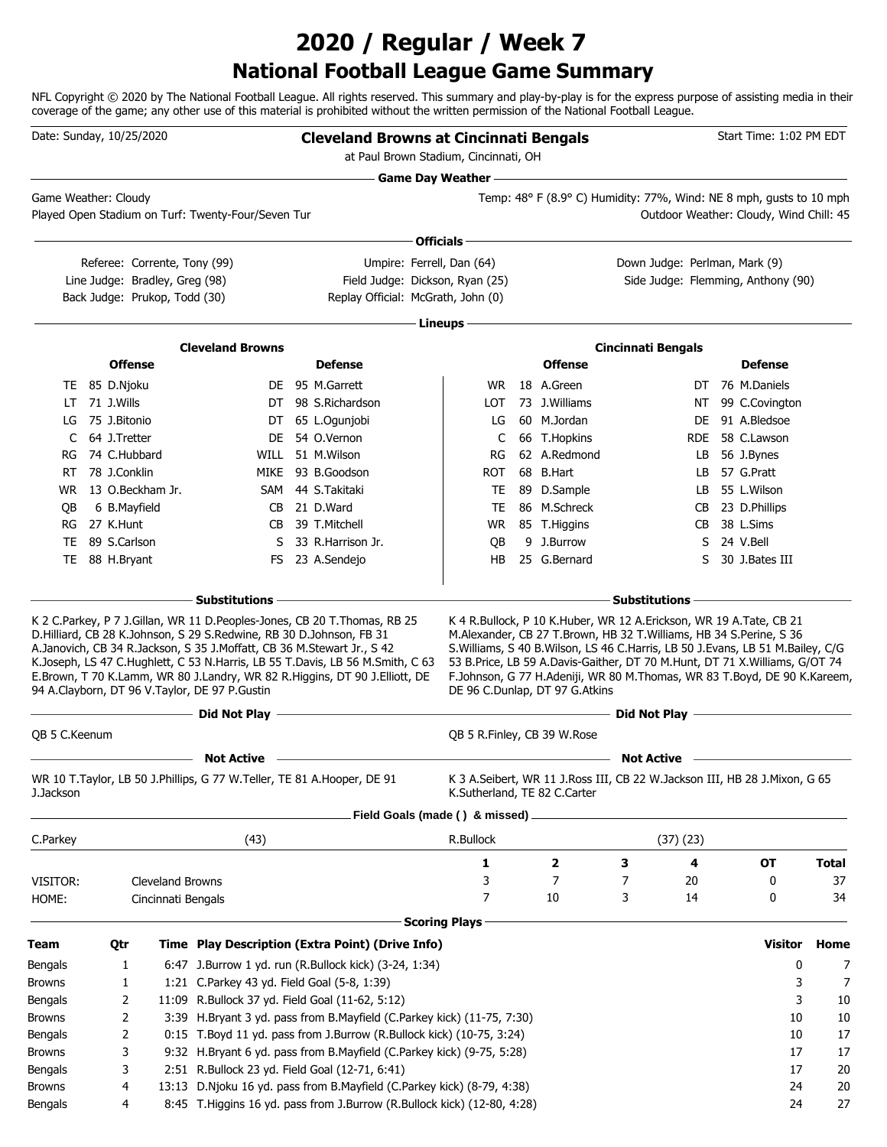## **National Football League Game Summary 2020 / Regular / Week 7**

NFL Copyright © 2020 by The National Football League. All rights reserved. This summary and play-by-play is for the express purpose of assisting media in their coverage of the game; any other use of this material is prohibited without the written permission of the National Football League.

|                                                                                                              | Date: Sunday, 10/25/2020                                       |                                        |                                                                                                                         |  | <b>Cleveland Browns at Cincinnati Bengals</b><br>at Paul Brown Stadium, Cincinnati, OH                                                                      |                              |                                |                                                                                                                                                                                                                                              |            | Start Time: 1:02 PM EDT                 |              |
|--------------------------------------------------------------------------------------------------------------|----------------------------------------------------------------|----------------------------------------|-------------------------------------------------------------------------------------------------------------------------|--|-------------------------------------------------------------------------------------------------------------------------------------------------------------|------------------------------|--------------------------------|----------------------------------------------------------------------------------------------------------------------------------------------------------------------------------------------------------------------------------------------|------------|-----------------------------------------|--------------|
|                                                                                                              |                                                                |                                        |                                                                                                                         |  |                                                                                                                                                             |                              |                                | Game Day Weather - Cambridge Commission Commission                                                                                                                                                                                           |            |                                         |              |
|                                                                                                              | Game Weather: Cloudy                                           |                                        | Played Open Stadium on Turf: Twenty-Four/Seven Tur                                                                      |  |                                                                                                                                                             |                              |                                | Temp: 48° F (8.9° C) Humidity: 77%, Wind: NE 8 mph, gusts to 10 mph                                                                                                                                                                          |            | Outdoor Weather: Cloudy, Wind Chill: 45 |              |
|                                                                                                              |                                                                |                                        |                                                                                                                         |  |                                                                                                                                                             |                              |                                |                                                                                                                                                                                                                                              |            |                                         |              |
|                                                                                                              |                                                                |                                        |                                                                                                                         |  |                                                                                                                                                             | ∙ Officials –                |                                |                                                                                                                                                                                                                                              |            |                                         |              |
|                                                                                                              | Referee: Corrente, Tony (99)<br>Line Judge: Bradley, Greg (98) |                                        |                                                                                                                         |  | Umpire: Ferrell, Dan (64)<br>Field Judge: Dickson, Ryan (25)                                                                                                |                              |                                | Down Judge: Perlman, Mark (9)                                                                                                                                                                                                                |            | Side Judge: Flemming, Anthony (90)      |              |
|                                                                                                              | Back Judge: Prukop, Todd (30)                                  |                                        |                                                                                                                         |  | Replay Official: McGrath, John (0)                                                                                                                          |                              |                                |                                                                                                                                                                                                                                              |            |                                         |              |
|                                                                                                              |                                                                |                                        |                                                                                                                         |  |                                                                                                                                                             |                              |                                |                                                                                                                                                                                                                                              |            |                                         |              |
|                                                                                                              |                                                                |                                        |                                                                                                                         |  |                                                                                                                                                             | · Lineups -                  |                                |                                                                                                                                                                                                                                              |            |                                         |              |
|                                                                                                              |                                                                |                                        | <b>Cleveland Browns</b>                                                                                                 |  |                                                                                                                                                             |                              |                                | <b>Cincinnati Bengals</b>                                                                                                                                                                                                                    |            |                                         |              |
|                                                                                                              | <b>Offense</b>                                                 |                                        |                                                                                                                         |  | <b>Defense</b>                                                                                                                                              |                              | <b>Offense</b>                 |                                                                                                                                                                                                                                              |            | <b>Defense</b>                          |              |
| LT                                                                                                           | TE 85 D.Njoku<br>71 J.Wills                                    |                                        |                                                                                                                         |  | DE 95 M.Garrett<br>DT 98 S.Richardson                                                                                                                       | WR.<br><b>LOT</b>            | 18 A.Green<br>73 J. Williams   |                                                                                                                                                                                                                                              | DT.        | 76 M.Daniels<br>99 C.Covington          |              |
| LG                                                                                                           | 75 J.Bitonio                                                   |                                        |                                                                                                                         |  | DT 65 L.Ogunjobi                                                                                                                                            | LG                           | 60 M.Jordan                    |                                                                                                                                                                                                                                              | NT<br>DE.  | 91 A.Bledsoe                            |              |
| C                                                                                                            | 64 J.Tretter                                                   |                                        |                                                                                                                         |  | DE 54 O.Vernon                                                                                                                                              | C                            | 66 T.Hopkins                   |                                                                                                                                                                                                                                              | <b>RDE</b> | 58 C.Lawson                             |              |
| RG                                                                                                           | 74 C.Hubbard                                                   |                                        |                                                                                                                         |  | WILL 51 M. Wilson                                                                                                                                           | RG                           | 62 A.Redmond                   |                                                                                                                                                                                                                                              | LB         | 56 J.Bynes                              |              |
| RT                                                                                                           | 78 J.Conklin                                                   |                                        |                                                                                                                         |  | MIKE 93 B.Goodson                                                                                                                                           | <b>ROT</b>                   | 68 B.Hart                      |                                                                                                                                                                                                                                              | LB.        | 57 G.Pratt                              |              |
| WR.                                                                                                          | 13 O.Beckham Jr.                                               |                                        | SAM                                                                                                                     |  | 44 S.Takitaki                                                                                                                                               | TE                           | 89 D.Sample                    |                                                                                                                                                                                                                                              | LB.        | 55 L.Wilson                             |              |
| OВ                                                                                                           | 6 B.Mayfield                                                   |                                        | CB                                                                                                                      |  | 21 D.Ward                                                                                                                                                   | TE                           | 86 M.Schreck                   |                                                                                                                                                                                                                                              | CB         | 23 D.Phillips                           |              |
| RG                                                                                                           | 27 K.Hunt                                                      |                                        | CB.                                                                                                                     |  | 39 T.Mitchell                                                                                                                                               | <b>WR</b>                    | 85 T.Higgins                   |                                                                                                                                                                                                                                              | CВ         | 38 L.Sims                               |              |
| TE                                                                                                           | 89 S.Carlson                                                   |                                        | S.                                                                                                                      |  | 33 R.Harrison Jr.                                                                                                                                           | QB                           | 9 J.Burrow                     |                                                                                                                                                                                                                                              | S          | 24 V.Bell                               |              |
|                                                                                                              | TE 88 H.Bryant                                                 |                                        |                                                                                                                         |  | FS 23 A.Sendejo                                                                                                                                             | HB                           | 25 G.Bernard                   |                                                                                                                                                                                                                                              | S.         | 30 J.Bates III                          |              |
|                                                                                                              |                                                                |                                        | A.Janovich, CB 34 R.Jackson, S 35 J.Moffatt, CB 36 M.Stewart Jr., S 42<br>94 A.Clayborn, DT 96 V.Taylor, DE 97 P.Gustin |  | K.Joseph, LS 47 C.Hughlett, C 53 N.Harris, LB 55 T.Davis, LB 56 M.Smith, C 63<br>E.Brown, T 70 K.Lamm, WR 80 J.Landry, WR 82 R.Higgins, DT 90 J.Elliott, DE |                              | DE 96 C.Dunlap, DT 97 G.Atkins | S. Williams, S 40 B. Wilson, LS 46 C. Harris, LB 50 J. Evans, LB 51 M. Bailey, C/G<br>53 B.Price, LB 59 A.Davis-Gaither, DT 70 M.Hunt, DT 71 X.Williams, G/OT 74<br>F.Johnson, G 77 H.Adeniji, WR 80 M.Thomas, WR 83 T.Boyd, DE 90 K.Kareem, |            |                                         |              |
|                                                                                                              |                                                                |                                        |                                                                                                                         |  |                                                                                                                                                             |                              |                                |                                                                                                                                                                                                                                              |            |                                         |              |
|                                                                                                              |                                                                |                                        | Did Not Play -                                                                                                          |  |                                                                                                                                                             |                              |                                |                                                                                                                                                                                                                                              |            |                                         |              |
|                                                                                                              |                                                                |                                        |                                                                                                                         |  |                                                                                                                                                             | QB 5 R.Finley, CB 39 W.Rose  |                                |                                                                                                                                                                                                                                              |            |                                         |              |
|                                                                                                              | QB 5 C.Keenum<br><b>Not Active</b>                             |                                        |                                                                                                                         |  | the control of the control of the control of the control of the control of                                                                                  |                              |                                | <b>Not Active</b>                                                                                                                                                                                                                            |            |                                         |              |
| J.Jackson                                                                                                    |                                                                |                                        | WR 10 T. Taylor, LB 50 J. Phillips, G 77 W. Teller, TE 81 A. Hooper, DE 91                                              |  |                                                                                                                                                             | K.Sutherland, TE 82 C.Carter |                                | K 3 A.Seibert, WR 11 J.Ross III, CB 22 W.Jackson III, HB 28 J.Mixon, G 65                                                                                                                                                                    |            |                                         |              |
|                                                                                                              |                                                                |                                        |                                                                                                                         |  | Field Goals (made () & missed).                                                                                                                             |                              |                                |                                                                                                                                                                                                                                              |            |                                         |              |
| C.Parkey                                                                                                     |                                                                |                                        | (43)                                                                                                                    |  |                                                                                                                                                             | R.Bullock                    |                                | (37)(23)                                                                                                                                                                                                                                     |            |                                         |              |
|                                                                                                              |                                                                |                                        |                                                                                                                         |  |                                                                                                                                                             | 1                            |                                | З                                                                                                                                                                                                                                            | 4          | <b>OT</b>                               | <b>Total</b> |
| VISITOR:                                                                                                     |                                                                |                                        |                                                                                                                         |  |                                                                                                                                                             | 3                            | 2<br>$\overline{7}$            | 7                                                                                                                                                                                                                                            |            | 0                                       | 37           |
| HOME:                                                                                                        |                                                                | Cleveland Browns<br>Cincinnati Bengals |                                                                                                                         |  |                                                                                                                                                             | 7                            | 10                             | 3                                                                                                                                                                                                                                            | 20<br>14   | 0                                       | 34           |
|                                                                                                              |                                                                |                                        |                                                                                                                         |  |                                                                                                                                                             |                              |                                |                                                                                                                                                                                                                                              |            |                                         |              |
|                                                                                                              |                                                                |                                        |                                                                                                                         |  |                                                                                                                                                             | <b>Scoring Plays</b>         |                                |                                                                                                                                                                                                                                              |            |                                         |              |
| Team                                                                                                         | Qtr                                                            |                                        |                                                                                                                         |  | Time Play Description (Extra Point) (Drive Info)                                                                                                            |                              |                                |                                                                                                                                                                                                                                              |            | <b>Visitor</b>                          | Home         |
|                                                                                                              | 1                                                              |                                        |                                                                                                                         |  | 6:47 J.Burrow 1 yd. run (R.Bullock kick) (3-24, 1:34)                                                                                                       |                              |                                |                                                                                                                                                                                                                                              |            | 0                                       | 7            |
|                                                                                                              | 1                                                              |                                        | 1:21 C.Parkey 43 yd. Field Goal (5-8, 1:39)                                                                             |  |                                                                                                                                                             |                              |                                |                                                                                                                                                                                                                                              |            | 3                                       | 7            |
|                                                                                                              | 2                                                              |                                        | 11:09 R.Bullock 37 yd. Field Goal (11-62, 5:12)                                                                         |  |                                                                                                                                                             |                              |                                |                                                                                                                                                                                                                                              |            | 3                                       | 10           |
|                                                                                                              | 2                                                              |                                        |                                                                                                                         |  | 3:39 H.Bryant 3 yd. pass from B.Mayfield (C.Parkey kick) (11-75, 7:30)                                                                                      |                              |                                |                                                                                                                                                                                                                                              |            | 10                                      | 10           |
|                                                                                                              | 2                                                              |                                        |                                                                                                                         |  | 0:15 T.Boyd 11 yd. pass from J.Burrow (R.Bullock kick) (10-75, 3:24)                                                                                        |                              |                                |                                                                                                                                                                                                                                              |            | 10                                      | 17           |
|                                                                                                              | 3<br>3                                                         |                                        |                                                                                                                         |  | 9:32 H.Bryant 6 yd. pass from B.Mayfield (C.Parkey kick) (9-75, 5:28)                                                                                       |                              |                                |                                                                                                                                                                                                                                              |            | 17<br>17                                | 17           |
| Bengals<br><b>Browns</b><br>Bengals<br><b>Browns</b><br>Bengals<br><b>Browns</b><br>Bengals<br><b>Browns</b> | 4                                                              |                                        | 2:51 R.Bullock 23 yd. Field Goal (12-71, 6:41)                                                                          |  | 13:13 D.Njoku 16 yd. pass from B.Mayfield (C.Parkey kick) (8-79, 4:38)                                                                                      |                              |                                |                                                                                                                                                                                                                                              |            | 24                                      | 20<br>20     |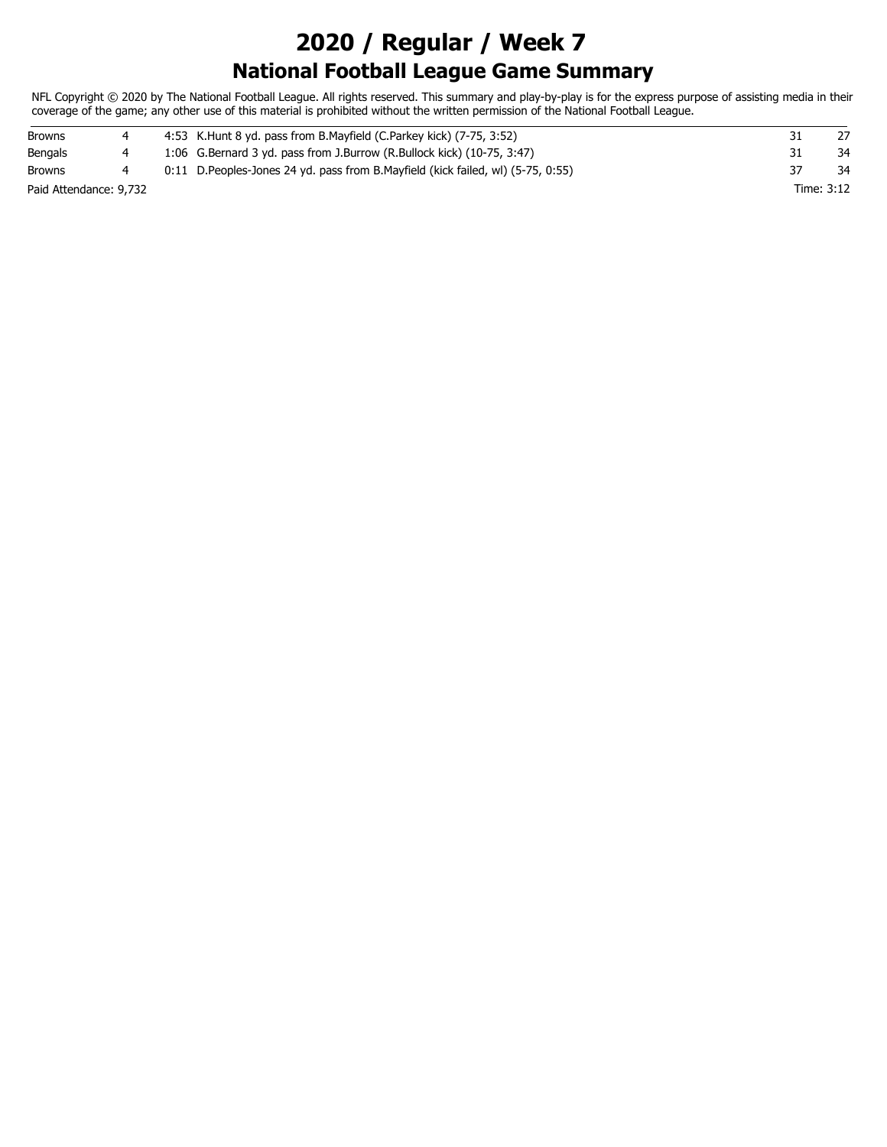## **National Football League Game Summary 2020 / Regular / Week 7**

NFL Copyright © 2020 by The National Football League. All rights reserved. This summary and play-by-play is for the express purpose of assisting media in their coverage of the game; any other use of this material is prohibited without the written permission of the National Football League.

| <b>Browns</b>          |  | 4:53 K. Hunt 8 yd. pass from B. Mayfield (C. Parkey kick) (7-75, 3:52)            |            |
|------------------------|--|-----------------------------------------------------------------------------------|------------|
| Bengals                |  | 1:06 G.Bernard 3 yd. pass from J.Burrow (R.Bullock kick) (10-75, 3:47)            | 34         |
| Browns                 |  | 0:11 D. Peoples-Jones 24 yd. pass from B. Mayfield (kick failed, wl) (5-75, 0:55) | 34         |
| Paid Attendance: 9,732 |  |                                                                                   | Time: 3:12 |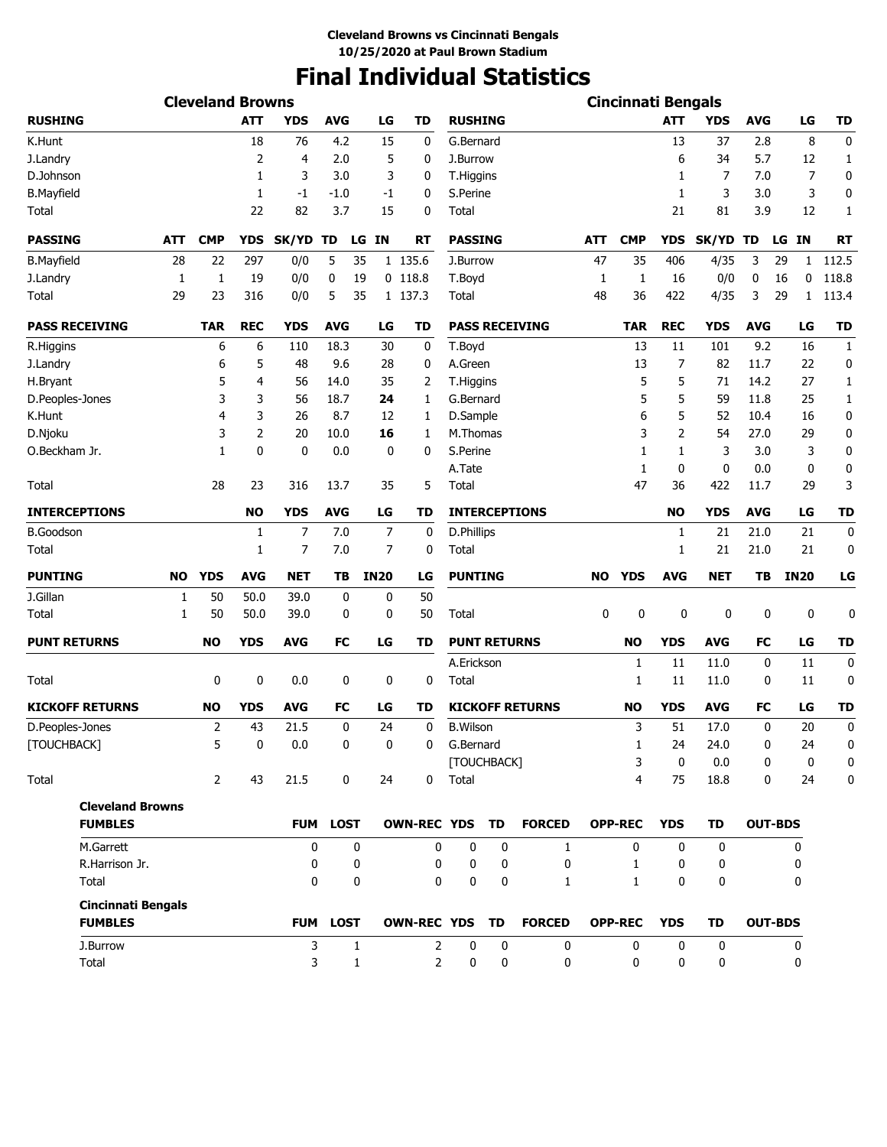## **Final Individual Statistics**

|                      |                                           |     | <b>Cleveland Browns</b> |             |              |              |                 |                       |                 |                     |                        |            | <b>Cincinnati Bengals</b> |              |              |            |                 |                  |
|----------------------|-------------------------------------------|-----|-------------------------|-------------|--------------|--------------|-----------------|-----------------------|-----------------|---------------------|------------------------|------------|---------------------------|--------------|--------------|------------|-----------------|------------------|
| <b>RUSHING</b>       |                                           |     |                         | <b>ATT</b>  | <b>YDS</b>   | <b>AVG</b>   | LG              | <b>TD</b>             | <b>RUSHING</b>  |                     |                        |            |                           | <b>ATT</b>   | <b>YDS</b>   | <b>AVG</b> | LG              | <b>TD</b>        |
| K.Hunt               |                                           |     |                         | 18          | 76           | 4.2          | 15              | 0                     | G.Bernard       |                     |                        |            |                           | 13           | 37           | 2.8        | 8               | 0                |
| J.Landry             |                                           |     |                         | 2           | 4            | 2.0          |                 | 5<br>0                | J.Burrow        |                     |                        |            |                           | 6            | 34           | 5.7        | 12              | 1                |
| D.Johnson            |                                           |     |                         | 1           | 3            | 3.0          |                 | 3<br>0                | T.Higgins       |                     |                        |            |                           | 1            | 7            | 7.0        | 7               | 0                |
| <b>B.Mayfield</b>    |                                           |     |                         | 1           | $-1$         | $-1.0$       |                 | 0<br>-1               | S.Perine        |                     |                        |            |                           | 1            | 3            | 3.0        | 3               | 0                |
| Total                |                                           |     |                         | 22          | 82           | 3.7          | 15              | 0                     | Total           |                     |                        |            |                           | 21           | 81           | 3.9        | 12              | 1                |
| <b>PASSING</b>       |                                           | ATT | <b>CMP</b>              | YDS         | <b>SK/YD</b> | TD           | <b>IN</b><br>LG | <b>RT</b>             | <b>PASSING</b>  |                     |                        | <b>ATT</b> | <b>CMP</b>                | YDS          | <b>SK/YD</b> | TD         | <b>IN</b><br>LG | <b>RT</b>        |
| <b>B.Mayfield</b>    |                                           | 28  | 22                      | 297         | 0/0          | 5            | 35              | 1 135.6               | J.Burrow        |                     |                        | 47         | 35                        | 406          | 4/35         | 3          | 29<br>1         | 112.5            |
| J.Landry             |                                           | 1   | $\mathbf{1}$            | 19          | 0/0          | 0            | 19              | $0$ 118.8             | T.Boyd          |                     |                        | 1          | 1                         | 16           | 0/0          | 0          | 16<br>0         | 118.8            |
| Total                |                                           | 29  | 23                      | 316         | 0/0          | 5            | 35              | 1 137.3               | Total           |                     |                        | 48         | 36                        | 422          | 4/35         | 3          | 29<br>1         | 113.4            |
|                      | <b>PASS RECEIVING</b>                     |     | <b>TAR</b>              | <b>REC</b>  | <b>YDS</b>   | <b>AVG</b>   | LG              | <b>TD</b>             |                 |                     | <b>PASS RECEIVING</b>  |            | <b>TAR</b>                | <b>REC</b>   | <b>YDS</b>   | <b>AVG</b> | LG              | <b>TD</b>        |
| R.Higgins            |                                           |     | 6                       | 6           | 110          | 18.3         | 30              | 0                     | T.Boyd          |                     |                        |            | 13                        | 11           | 101          | 9.2        | 16              | 1                |
| J.Landry             |                                           |     | 6                       | 5           | 48           | 9.6          | 28              | 0                     | A.Green         |                     |                        |            | 13                        | 7            | 82           | 11.7       | 22              | 0                |
| H.Bryant             |                                           |     | 5                       | 4           | 56           | 14.0         | 35              | 2                     | T.Higgins       |                     |                        |            | 5                         | 5            | 71           | 14.2       | 27              | 1                |
| D.Peoples-Jones      |                                           |     | 3                       | 3           | 56           | 18.7         | 24              | 1                     | G.Bernard       |                     |                        |            | 5                         | 5            | 59           | 11.8       | 25              | 1                |
| K.Hunt               |                                           |     | 4                       | 3           | 26           | 8.7          | 12              | 1                     | D.Sample        |                     |                        |            | 6                         | 5            | 52           | 10.4       | 16              | 0                |
| D.Njoku              |                                           |     | 3                       | 2           | 20           | 10.0         | 16              | 1                     | M.Thomas        |                     |                        |            | 3                         | 2            | 54           | 27.0       | 29              | 0                |
| O.Beckham Jr.        |                                           |     | 1                       | 0           | $\mathbf 0$  | 0.0          |                 | 0<br>0                | S.Perine        |                     |                        |            | $\mathbf{1}$              | 1            | 3            | 3.0        | 3               | 0                |
|                      |                                           |     |                         |             |              |              |                 |                       | A.Tate          |                     |                        |            | 1                         | 0            | 0            | 0.0        | 0               | 0                |
| Total                |                                           |     | 28                      | 23          | 316          | 13.7         | 35              | 5                     | Total           |                     |                        |            | 47                        | 36           | 422          | 11.7       | 29              | 3                |
| <b>INTERCEPTIONS</b> |                                           |     |                         | <b>NO</b>   | <b>YDS</b>   | <b>AVG</b>   | LG              | TD                    |                 |                     | <b>INTERCEPTIONS</b>   |            |                           | <b>NO</b>    | <b>YDS</b>   | <b>AVG</b> | LG              | <b>TD</b>        |
| <b>B.Goodson</b>     |                                           |     |                         | 1           | 7            | 7.0          |                 | $\overline{7}$<br>0   | D.Phillips      |                     |                        |            |                           | 1            | 21           | 21.0       | 21              | 0                |
| Total                |                                           |     |                         | 1           | 7            | 7.0          |                 | $\overline{7}$<br>0   | Total           |                     |                        |            |                           | 1            | 21           | 21.0       | 21              | 0                |
| <b>PUNTING</b>       |                                           | NO  | <b>YDS</b>              | <b>AVG</b>  | <b>NET</b>   | TВ           | <b>IN20</b>     | LG                    | <b>PUNTING</b>  |                     |                        | NO.        | <b>YDS</b>                | <b>AVG</b>   | <b>NET</b>   | TB         | <b>IN20</b>     | LG               |
| J.Gillan             |                                           | 1   | 50                      | 50.0        | 39.0         | 0            |                 | 0<br>50               |                 |                     |                        |            |                           |              |              |            |                 |                  |
| Total                |                                           | 1   | 50                      | 50.0        | 39.0         | 0            |                 | 0<br>50               | Total           |                     |                        | 0          | 0                         | 0            | 0            | 0          | 0               | 0                |
| <b>PUNT RETURNS</b>  |                                           |     | NO                      | <b>YDS</b>  | <b>AVG</b>   | <b>FC</b>    | LG              | TD                    |                 | <b>PUNT RETURNS</b> |                        |            | <b>NO</b>                 | <b>YDS</b>   | <b>AVG</b>   | FC         | LG              | <b>TD</b>        |
|                      |                                           |     |                         |             |              |              |                 |                       | A.Erickson      |                     |                        |            | 1                         | 11           | 11.0         | 0          | 11              | 0                |
| Total                |                                           |     | 0                       | 0           | 0.0          | 0            |                 | 0<br>0                | Total           |                     |                        |            | 1                         | 11           | 11.0         | 0          | 11              | 0                |
|                      | <b>KICKOFF RETURNS</b>                    |     | <b>NO</b>               | <b>YDS</b>  | <b>AVG</b>   | FC           | LG              | TD                    |                 |                     | <b>KICKOFF RETURNS</b> |            | <b>NO</b>                 | <b>YDS</b>   | <b>AVG</b>   | FC         | LG              | <b>TD</b>        |
| D.Peoples-Jones      |                                           |     | 2                       | 43          | 21.5         | $\mathbf 0$  | 24              | $\mathbf 0$           | <b>B.Wilson</b> |                     |                        |            | 3                         | 51           | 17.0         | 0          | 20              | $\mathbf{0}$     |
| [TOUCHBACK]          |                                           |     | 5                       | $\mathbf 0$ | $0.0\,$      | $\mathbf{0}$ |                 | 0<br>$\Omega$         | G.Bernard       |                     |                        |            | 1                         | 24           | 24.0         | 0          | 24              | $\boldsymbol{0}$ |
|                      |                                           |     |                         |             |              |              |                 |                       |                 | [TOUCHBACK]         |                        |            | 3                         | 0            | 0.0          | 0          | $\mathbf 0$     | 0                |
| Total                |                                           |     | $\overline{2}$          | 43          | 21.5         | 0            | 24              |                       | 0 Total         |                     |                        |            | 4                         | 75           | 18.8         | 0          | 24              | 0                |
|                      | <b>Cleveland Browns</b><br><b>FUMBLES</b> |     |                         |             |              | FUM LOST     |                 | OWN-REC YDS TD        |                 |                     | <b>FORCED</b>          |            | <b>OPP-REC</b>            | <b>YDS</b>   | TD           |            | <b>OUT-BDS</b>  |                  |
|                      | M.Garrett                                 |     |                         |             | $\mathbf{0}$ |              | 0               | 0                     | 0               | 0                   | $\mathbf{1}$           |            | 0                         | $\mathbf{0}$ | 0            |            | 0               |                  |
|                      | R.Harrison Jr.                            |     |                         |             | 0            |              | 0               | 0                     | 0               | 0                   | $\mathbf{0}$           |            | $\mathbf{1}$              | 0            | 0            |            | 0               |                  |
|                      | Total                                     |     |                         |             | $\Omega$     |              | 0               | 0                     | 0               | $\mathbf 0$         | 1                      |            | $\mathbf{1}$              | 0            | 0            |            | 0               |                  |
|                      | <b>Cincinnati Bengals</b>                 |     |                         |             |              |              |                 |                       |                 |                     |                        |            |                           |              |              |            |                 |                  |
|                      | <b>FUMBLES</b>                            |     |                         |             |              | FUM LOST     |                 | <b>OWN-REC YDS TD</b> |                 |                     | <b>FORCED</b>          |            | <b>OPP-REC</b>            | <b>YDS</b>   | TD           |            | <b>OUT-BDS</b>  |                  |
|                      | J.Burrow                                  |     |                         |             | 3            |              | $\mathbf{1}$    | $\overline{2}$        | $\mathbf 0$     | 0                   | $\mathbf 0$            |            | $\mathbf{0}$              | $\mathbf{0}$ | $\mathbf 0$  |            | 0               |                  |
|                      | Total                                     |     |                         |             | 3            |              | $\mathbf{1}$    | $\overline{2}$        | 0               | 0                   | 0                      |            | 0                         | 0            | 0            |            | 0               |                  |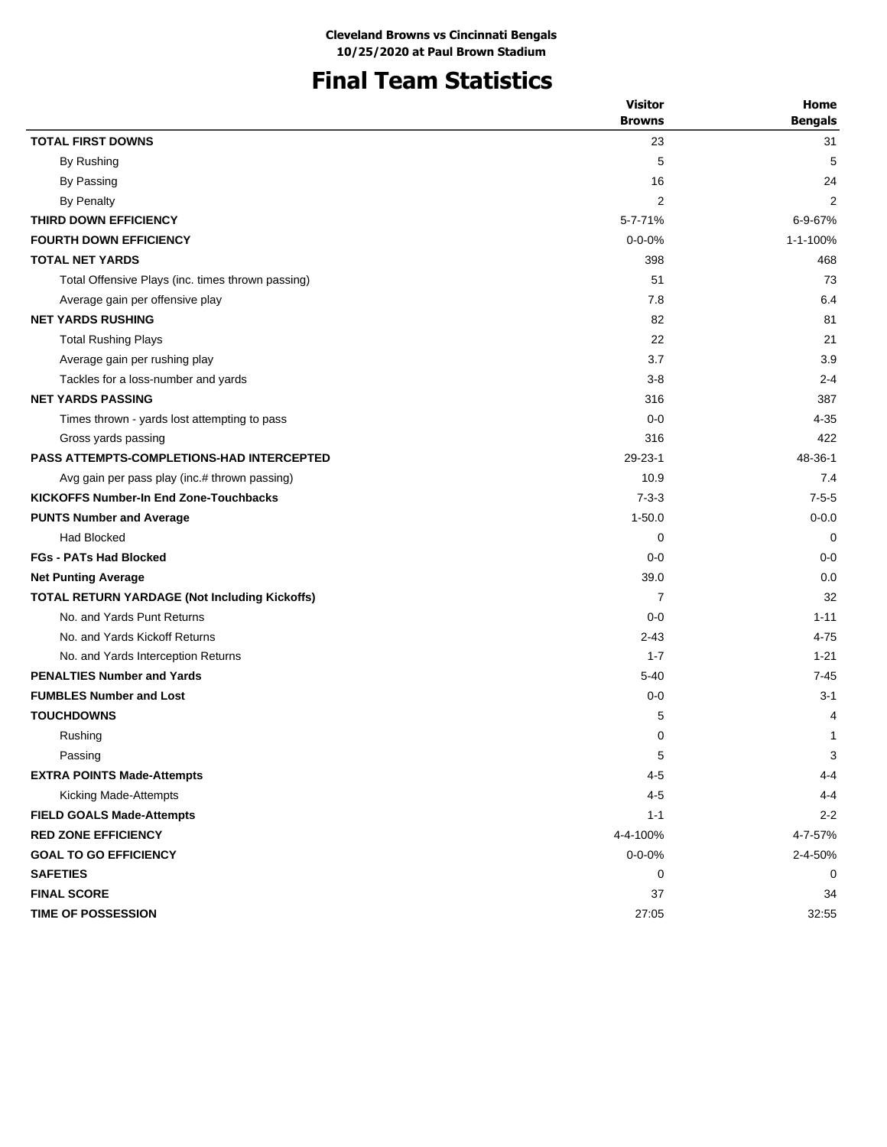# **Final Team Statistics**

| <b>TOTAL FIRST DOWNS</b><br>23<br>31<br>5<br>5<br>By Rushing<br>By Passing<br>16<br>24<br>$\overline{2}$<br><b>By Penalty</b><br>2<br>THIRD DOWN EFFICIENCY<br>5-7-71%<br>6-9-67%<br><b>FOURTH DOWN EFFICIENCY</b><br>$0 - 0 - 0\%$<br>1-1-100%<br><b>TOTAL NET YARDS</b><br>398<br>468<br>Total Offensive Plays (inc. times thrown passing)<br>51<br>73<br>7.8<br>6.4<br>Average gain per offensive play<br><b>NET YARDS RUSHING</b><br>82<br>81<br>22<br>21<br><b>Total Rushing Plays</b><br>3.9<br>3.7<br>Average gain per rushing play<br>Tackles for a loss-number and yards<br>$3-8$<br>$2 - 4$<br><b>NET YARDS PASSING</b><br>316<br>387<br>$0 - 0$<br>$4 - 35$<br>Times thrown - yards lost attempting to pass<br>422<br>Gross yards passing<br>316<br>29-23-1<br><b>PASS ATTEMPTS-COMPLETIONS-HAD INTERCEPTED</b><br>48-36-1<br>10.9<br>7.4<br>Avg gain per pass play (inc.# thrown passing)<br><b>KICKOFFS Number-In End Zone-Touchbacks</b><br>$7 - 3 - 3$<br>$7 - 5 - 5$<br>$1 - 50.0$<br>$0 - 0.0$<br><b>PUNTS Number and Average</b><br><b>Had Blocked</b><br>0<br>$\Omega$<br><b>FGs - PATs Had Blocked</b><br>$0 - 0$<br>$0 - 0$<br>39.0<br>0.0<br><b>Net Punting Average</b><br>32<br><b>TOTAL RETURN YARDAGE (Not Including Kickoffs)</b><br>7<br>No. and Yards Punt Returns<br>$0 - 0$<br>$1 - 11$<br>No. and Yards Kickoff Returns<br>$2 - 43$<br>$4 - 75$<br>No. and Yards Interception Returns<br>$1 - 21$<br>$1 - 7$<br><b>PENALTIES Number and Yards</b><br>$7 - 45$<br>$5-40$<br><b>FUMBLES Number and Lost</b><br>$0-0$<br>$3 - 1$<br><b>TOUCHDOWNS</b><br>5<br>4<br>0<br>Rushing<br>1<br>5<br>3<br>Passing<br>$4 - 5$<br><b>EXTRA POINTS Made-Attempts</b><br>4-4<br>$4 - 5$<br>Kicking Made-Attempts<br>4-4<br><b>FIELD GOALS Made-Attempts</b><br>$2 - 2$<br>$1 - 1$<br><b>RED ZONE EFFICIENCY</b><br>4-4-100%<br>4-7-57%<br><b>GOAL TO GO EFFICIENCY</b><br>$0 - 0 - 0%$<br>2-4-50%<br><b>SAFETIES</b><br>0<br>0<br><b>FINAL SCORE</b><br>37<br>34 |                           | <b>Visitor</b> | Home           |
|----------------------------------------------------------------------------------------------------------------------------------------------------------------------------------------------------------------------------------------------------------------------------------------------------------------------------------------------------------------------------------------------------------------------------------------------------------------------------------------------------------------------------------------------------------------------------------------------------------------------------------------------------------------------------------------------------------------------------------------------------------------------------------------------------------------------------------------------------------------------------------------------------------------------------------------------------------------------------------------------------------------------------------------------------------------------------------------------------------------------------------------------------------------------------------------------------------------------------------------------------------------------------------------------------------------------------------------------------------------------------------------------------------------------------------------------------------------------------------------------------------------------------------------------------------------------------------------------------------------------------------------------------------------------------------------------------------------------------------------------------------------------------------------------------------------------------------------------------------------------------------------------------------------------------------------------------------------------------------|---------------------------|----------------|----------------|
|                                                                                                                                                                                                                                                                                                                                                                                                                                                                                                                                                                                                                                                                                                                                                                                                                                                                                                                                                                                                                                                                                                                                                                                                                                                                                                                                                                                                                                                                                                                                                                                                                                                                                                                                                                                                                                                                                                                                                                                  |                           | <b>Browns</b>  | <b>Bengals</b> |
|                                                                                                                                                                                                                                                                                                                                                                                                                                                                                                                                                                                                                                                                                                                                                                                                                                                                                                                                                                                                                                                                                                                                                                                                                                                                                                                                                                                                                                                                                                                                                                                                                                                                                                                                                                                                                                                                                                                                                                                  |                           |                |                |
|                                                                                                                                                                                                                                                                                                                                                                                                                                                                                                                                                                                                                                                                                                                                                                                                                                                                                                                                                                                                                                                                                                                                                                                                                                                                                                                                                                                                                                                                                                                                                                                                                                                                                                                                                                                                                                                                                                                                                                                  |                           |                |                |
|                                                                                                                                                                                                                                                                                                                                                                                                                                                                                                                                                                                                                                                                                                                                                                                                                                                                                                                                                                                                                                                                                                                                                                                                                                                                                                                                                                                                                                                                                                                                                                                                                                                                                                                                                                                                                                                                                                                                                                                  |                           |                |                |
|                                                                                                                                                                                                                                                                                                                                                                                                                                                                                                                                                                                                                                                                                                                                                                                                                                                                                                                                                                                                                                                                                                                                                                                                                                                                                                                                                                                                                                                                                                                                                                                                                                                                                                                                                                                                                                                                                                                                                                                  |                           |                |                |
|                                                                                                                                                                                                                                                                                                                                                                                                                                                                                                                                                                                                                                                                                                                                                                                                                                                                                                                                                                                                                                                                                                                                                                                                                                                                                                                                                                                                                                                                                                                                                                                                                                                                                                                                                                                                                                                                                                                                                                                  |                           |                |                |
|                                                                                                                                                                                                                                                                                                                                                                                                                                                                                                                                                                                                                                                                                                                                                                                                                                                                                                                                                                                                                                                                                                                                                                                                                                                                                                                                                                                                                                                                                                                                                                                                                                                                                                                                                                                                                                                                                                                                                                                  |                           |                |                |
|                                                                                                                                                                                                                                                                                                                                                                                                                                                                                                                                                                                                                                                                                                                                                                                                                                                                                                                                                                                                                                                                                                                                                                                                                                                                                                                                                                                                                                                                                                                                                                                                                                                                                                                                                                                                                                                                                                                                                                                  |                           |                |                |
|                                                                                                                                                                                                                                                                                                                                                                                                                                                                                                                                                                                                                                                                                                                                                                                                                                                                                                                                                                                                                                                                                                                                                                                                                                                                                                                                                                                                                                                                                                                                                                                                                                                                                                                                                                                                                                                                                                                                                                                  |                           |                |                |
|                                                                                                                                                                                                                                                                                                                                                                                                                                                                                                                                                                                                                                                                                                                                                                                                                                                                                                                                                                                                                                                                                                                                                                                                                                                                                                                                                                                                                                                                                                                                                                                                                                                                                                                                                                                                                                                                                                                                                                                  |                           |                |                |
|                                                                                                                                                                                                                                                                                                                                                                                                                                                                                                                                                                                                                                                                                                                                                                                                                                                                                                                                                                                                                                                                                                                                                                                                                                                                                                                                                                                                                                                                                                                                                                                                                                                                                                                                                                                                                                                                                                                                                                                  |                           |                |                |
|                                                                                                                                                                                                                                                                                                                                                                                                                                                                                                                                                                                                                                                                                                                                                                                                                                                                                                                                                                                                                                                                                                                                                                                                                                                                                                                                                                                                                                                                                                                                                                                                                                                                                                                                                                                                                                                                                                                                                                                  |                           |                |                |
|                                                                                                                                                                                                                                                                                                                                                                                                                                                                                                                                                                                                                                                                                                                                                                                                                                                                                                                                                                                                                                                                                                                                                                                                                                                                                                                                                                                                                                                                                                                                                                                                                                                                                                                                                                                                                                                                                                                                                                                  |                           |                |                |
|                                                                                                                                                                                                                                                                                                                                                                                                                                                                                                                                                                                                                                                                                                                                                                                                                                                                                                                                                                                                                                                                                                                                                                                                                                                                                                                                                                                                                                                                                                                                                                                                                                                                                                                                                                                                                                                                                                                                                                                  |                           |                |                |
|                                                                                                                                                                                                                                                                                                                                                                                                                                                                                                                                                                                                                                                                                                                                                                                                                                                                                                                                                                                                                                                                                                                                                                                                                                                                                                                                                                                                                                                                                                                                                                                                                                                                                                                                                                                                                                                                                                                                                                                  |                           |                |                |
|                                                                                                                                                                                                                                                                                                                                                                                                                                                                                                                                                                                                                                                                                                                                                                                                                                                                                                                                                                                                                                                                                                                                                                                                                                                                                                                                                                                                                                                                                                                                                                                                                                                                                                                                                                                                                                                                                                                                                                                  |                           |                |                |
|                                                                                                                                                                                                                                                                                                                                                                                                                                                                                                                                                                                                                                                                                                                                                                                                                                                                                                                                                                                                                                                                                                                                                                                                                                                                                                                                                                                                                                                                                                                                                                                                                                                                                                                                                                                                                                                                                                                                                                                  |                           |                |                |
|                                                                                                                                                                                                                                                                                                                                                                                                                                                                                                                                                                                                                                                                                                                                                                                                                                                                                                                                                                                                                                                                                                                                                                                                                                                                                                                                                                                                                                                                                                                                                                                                                                                                                                                                                                                                                                                                                                                                                                                  |                           |                |                |
|                                                                                                                                                                                                                                                                                                                                                                                                                                                                                                                                                                                                                                                                                                                                                                                                                                                                                                                                                                                                                                                                                                                                                                                                                                                                                                                                                                                                                                                                                                                                                                                                                                                                                                                                                                                                                                                                                                                                                                                  |                           |                |                |
|                                                                                                                                                                                                                                                                                                                                                                                                                                                                                                                                                                                                                                                                                                                                                                                                                                                                                                                                                                                                                                                                                                                                                                                                                                                                                                                                                                                                                                                                                                                                                                                                                                                                                                                                                                                                                                                                                                                                                                                  |                           |                |                |
|                                                                                                                                                                                                                                                                                                                                                                                                                                                                                                                                                                                                                                                                                                                                                                                                                                                                                                                                                                                                                                                                                                                                                                                                                                                                                                                                                                                                                                                                                                                                                                                                                                                                                                                                                                                                                                                                                                                                                                                  |                           |                |                |
|                                                                                                                                                                                                                                                                                                                                                                                                                                                                                                                                                                                                                                                                                                                                                                                                                                                                                                                                                                                                                                                                                                                                                                                                                                                                                                                                                                                                                                                                                                                                                                                                                                                                                                                                                                                                                                                                                                                                                                                  |                           |                |                |
|                                                                                                                                                                                                                                                                                                                                                                                                                                                                                                                                                                                                                                                                                                                                                                                                                                                                                                                                                                                                                                                                                                                                                                                                                                                                                                                                                                                                                                                                                                                                                                                                                                                                                                                                                                                                                                                                                                                                                                                  |                           |                |                |
|                                                                                                                                                                                                                                                                                                                                                                                                                                                                                                                                                                                                                                                                                                                                                                                                                                                                                                                                                                                                                                                                                                                                                                                                                                                                                                                                                                                                                                                                                                                                                                                                                                                                                                                                                                                                                                                                                                                                                                                  |                           |                |                |
|                                                                                                                                                                                                                                                                                                                                                                                                                                                                                                                                                                                                                                                                                                                                                                                                                                                                                                                                                                                                                                                                                                                                                                                                                                                                                                                                                                                                                                                                                                                                                                                                                                                                                                                                                                                                                                                                                                                                                                                  |                           |                |                |
|                                                                                                                                                                                                                                                                                                                                                                                                                                                                                                                                                                                                                                                                                                                                                                                                                                                                                                                                                                                                                                                                                                                                                                                                                                                                                                                                                                                                                                                                                                                                                                                                                                                                                                                                                                                                                                                                                                                                                                                  |                           |                |                |
|                                                                                                                                                                                                                                                                                                                                                                                                                                                                                                                                                                                                                                                                                                                                                                                                                                                                                                                                                                                                                                                                                                                                                                                                                                                                                                                                                                                                                                                                                                                                                                                                                                                                                                                                                                                                                                                                                                                                                                                  |                           |                |                |
|                                                                                                                                                                                                                                                                                                                                                                                                                                                                                                                                                                                                                                                                                                                                                                                                                                                                                                                                                                                                                                                                                                                                                                                                                                                                                                                                                                                                                                                                                                                                                                                                                                                                                                                                                                                                                                                                                                                                                                                  |                           |                |                |
|                                                                                                                                                                                                                                                                                                                                                                                                                                                                                                                                                                                                                                                                                                                                                                                                                                                                                                                                                                                                                                                                                                                                                                                                                                                                                                                                                                                                                                                                                                                                                                                                                                                                                                                                                                                                                                                                                                                                                                                  |                           |                |                |
|                                                                                                                                                                                                                                                                                                                                                                                                                                                                                                                                                                                                                                                                                                                                                                                                                                                                                                                                                                                                                                                                                                                                                                                                                                                                                                                                                                                                                                                                                                                                                                                                                                                                                                                                                                                                                                                                                                                                                                                  |                           |                |                |
|                                                                                                                                                                                                                                                                                                                                                                                                                                                                                                                                                                                                                                                                                                                                                                                                                                                                                                                                                                                                                                                                                                                                                                                                                                                                                                                                                                                                                                                                                                                                                                                                                                                                                                                                                                                                                                                                                                                                                                                  |                           |                |                |
|                                                                                                                                                                                                                                                                                                                                                                                                                                                                                                                                                                                                                                                                                                                                                                                                                                                                                                                                                                                                                                                                                                                                                                                                                                                                                                                                                                                                                                                                                                                                                                                                                                                                                                                                                                                                                                                                                                                                                                                  |                           |                |                |
|                                                                                                                                                                                                                                                                                                                                                                                                                                                                                                                                                                                                                                                                                                                                                                                                                                                                                                                                                                                                                                                                                                                                                                                                                                                                                                                                                                                                                                                                                                                                                                                                                                                                                                                                                                                                                                                                                                                                                                                  |                           |                |                |
|                                                                                                                                                                                                                                                                                                                                                                                                                                                                                                                                                                                                                                                                                                                                                                                                                                                                                                                                                                                                                                                                                                                                                                                                                                                                                                                                                                                                                                                                                                                                                                                                                                                                                                                                                                                                                                                                                                                                                                                  |                           |                |                |
|                                                                                                                                                                                                                                                                                                                                                                                                                                                                                                                                                                                                                                                                                                                                                                                                                                                                                                                                                                                                                                                                                                                                                                                                                                                                                                                                                                                                                                                                                                                                                                                                                                                                                                                                                                                                                                                                                                                                                                                  |                           |                |                |
|                                                                                                                                                                                                                                                                                                                                                                                                                                                                                                                                                                                                                                                                                                                                                                                                                                                                                                                                                                                                                                                                                                                                                                                                                                                                                                                                                                                                                                                                                                                                                                                                                                                                                                                                                                                                                                                                                                                                                                                  |                           |                |                |
|                                                                                                                                                                                                                                                                                                                                                                                                                                                                                                                                                                                                                                                                                                                                                                                                                                                                                                                                                                                                                                                                                                                                                                                                                                                                                                                                                                                                                                                                                                                                                                                                                                                                                                                                                                                                                                                                                                                                                                                  |                           |                |                |
|                                                                                                                                                                                                                                                                                                                                                                                                                                                                                                                                                                                                                                                                                                                                                                                                                                                                                                                                                                                                                                                                                                                                                                                                                                                                                                                                                                                                                                                                                                                                                                                                                                                                                                                                                                                                                                                                                                                                                                                  |                           |                |                |
|                                                                                                                                                                                                                                                                                                                                                                                                                                                                                                                                                                                                                                                                                                                                                                                                                                                                                                                                                                                                                                                                                                                                                                                                                                                                                                                                                                                                                                                                                                                                                                                                                                                                                                                                                                                                                                                                                                                                                                                  |                           |                |                |
|                                                                                                                                                                                                                                                                                                                                                                                                                                                                                                                                                                                                                                                                                                                                                                                                                                                                                                                                                                                                                                                                                                                                                                                                                                                                                                                                                                                                                                                                                                                                                                                                                                                                                                                                                                                                                                                                                                                                                                                  |                           |                |                |
|                                                                                                                                                                                                                                                                                                                                                                                                                                                                                                                                                                                                                                                                                                                                                                                                                                                                                                                                                                                                                                                                                                                                                                                                                                                                                                                                                                                                                                                                                                                                                                                                                                                                                                                                                                                                                                                                                                                                                                                  | <b>TIME OF POSSESSION</b> | 27:05          | 32:55          |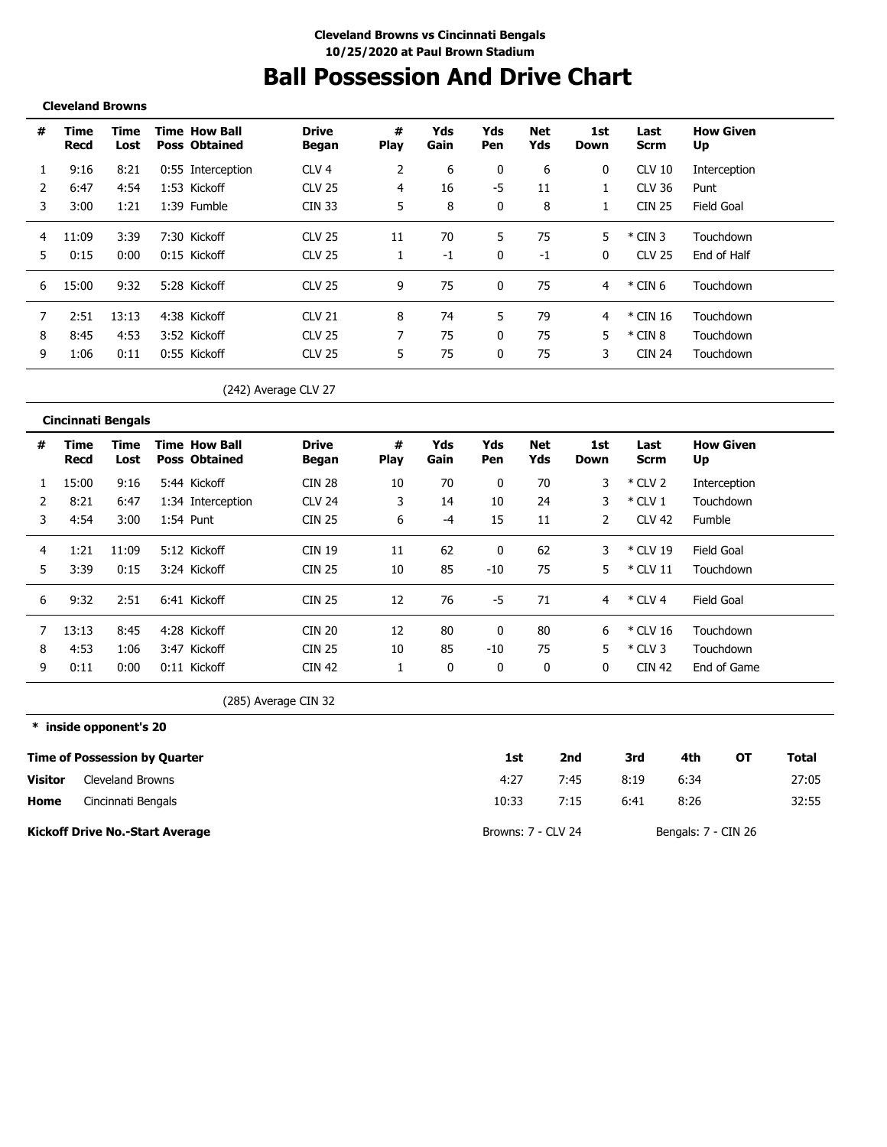# **Ball Possession And Drive Chart**

#### **Cleveland Browns**

| # | Time<br>Recd | Time<br>Lost | <b>Time How Ball</b><br><b>Poss Obtained</b> | <b>Drive</b><br>Began | #<br><b>Play</b> | Yds<br>Gain | Yds<br>Pen | Net<br>Yds | 1st<br>Down | Last<br>Scrm  | <b>How Given</b><br>Up |
|---|--------------|--------------|----------------------------------------------|-----------------------|------------------|-------------|------------|------------|-------------|---------------|------------------------|
|   | 9:16         | 8:21         | 0:55 Interception                            | CLV 4                 |                  | 6           | 0          | 6          | 0           | <b>CLV 10</b> | Interception           |
|   | 6:47         | 4:54         | 1:53 Kickoff                                 | <b>CLV 25</b>         | 4                | 16          | -5         | 11         |             | CLV 36        | Punt                   |
| 3 | 3:00         | 1:21         | 1:39 Fumble                                  | CIN 33                | 5                | 8           | $\Omega$   | 8          |             | <b>CIN 25</b> | Field Goal             |
| 4 | 11:09        | 3:39         | 7:30 Kickoff                                 | <b>CLV 25</b>         | 11               | 70          | 5          | 75         | 5           | $*$ CIN 3     | Touchdown              |
| 5 | 0:15         | 0:00         | 0:15 Kickoff                                 | CLV 25                |                  | ÷1          | 0          | $-1$       | 0           | <b>CLV 25</b> | End of Half            |
| 6 | 15:00        | 9:32         | 5:28 Kickoff                                 | CIV <sub>25</sub>     | 9                | 75          | $\Omega$   | 75         | 4           | $*$ CIN 6     | Touchdown              |
|   | 2:51         | 13:13        | 4:38 Kickoff                                 | CIV <sub>21</sub>     | 8                | 74          | 5          | 79         | 4           | * CIN 16      | Touchdown              |
| 8 | 8:45         | 4:53         | 3:52 Kickoff                                 | <b>CLV 25</b>         |                  | 75          | 0          | 75         | 5           | $*$ CIN 8     | Touchdown              |
| 9 | 1:06         | 0:11         | 0:55 Kickoff                                 | <b>CLV 25</b>         | 5                | 75          | $\Omega$   | 75         | 3           | <b>CIN 24</b> | Touchdown              |

(242) Average CLV 27

|   | <b>Cincinnati Bengals</b> |              |                                              |                              |                  |             |            |            |                |               |                        |
|---|---------------------------|--------------|----------------------------------------------|------------------------------|------------------|-------------|------------|------------|----------------|---------------|------------------------|
| # | Time<br>Recd              | Time<br>Lost | <b>Time How Ball</b><br><b>Poss Obtained</b> | <b>Drive</b><br><b>Began</b> | #<br><b>Play</b> | Yds<br>Gain | Yds<br>Pen | Net<br>Yds | 1st<br>Down    | Last<br>Scrm  | <b>How Given</b><br>Up |
|   | 15:00                     | 9:16         | 5:44 Kickoff                                 | <b>CIN 28</b>                | 10               | 70          | 0          | 70         | 3              | $*$ CLV 2     | Interception           |
|   | 8:21                      | 6:47         | 1:34 Interception                            | <b>CLV 24</b>                | 3                | 14          | 10         | 24         | 3              | $*$ CLV 1     | Touchdown              |
| 3 | 4:54                      | 3:00         | 1:54 Punt                                    | <b>CIN 25</b>                | 6                | -4          | 15         | 11         | $\overline{2}$ | <b>CLV 42</b> | <b>Fumble</b>          |
| 4 | 1:21                      | 11:09        | 5:12 Kickoff                                 | <b>CIN 19</b>                | 11               | 62          | 0          | 62         | 3              | * CLV 19      | Field Goal             |
| 5 | 3:39                      | 0:15         | 3:24 Kickoff                                 | <b>CIN 25</b>                | 10               | 85          | $-10$      | 75         | 5              | $*$ CLV 11    | Touchdown              |
| 6 | 9:32                      | 2:51         | 6:41 Kickoff                                 | <b>CIN 25</b>                | 12               | 76          | -5         | 71         | 4              | $*$ CLV 4     | Field Goal             |
|   | 13:13                     | 8:45         | 4:28 Kickoff                                 | <b>CIN 20</b>                | 12               | 80          | 0          | 80         | 6              | $*$ CLV 16    | Touchdown              |
| 8 | 4:53                      | 1:06         | 3:47 Kickoff                                 | <b>CIN 25</b>                | 10               | 85          | $-10$      | 75         | 5              | $*$ CLV 3     | Touchdown              |
| 9 | 0:11                      | 0:00         | 0:11 Kickoff                                 | <b>CIN 42</b>                |                  | 0           | 0          | 0          | 0              | <b>CIN 42</b> | End of Game            |

(285) Average CIN 32

**\* inside opponent's 20**

|                | <b>Time of Possession by Quarter</b>   | 1st                | 2nd  | 3rd  | 4th                 | ΟТ | Total |
|----------------|----------------------------------------|--------------------|------|------|---------------------|----|-------|
| <b>Visitor</b> | <b>Cleveland Browns</b>                | 4:27               | 7:45 | 8:19 | 6:34                |    | 27:05 |
| Home           | Cincinnati Bengals                     | 10:33              | 7:15 | 6:41 | 8:26                |    | 32:55 |
|                | <b>Kickoff Drive No.-Start Average</b> | Browns: 7 - CLV 24 |      |      | Bengals: 7 - CIN 26 |    |       |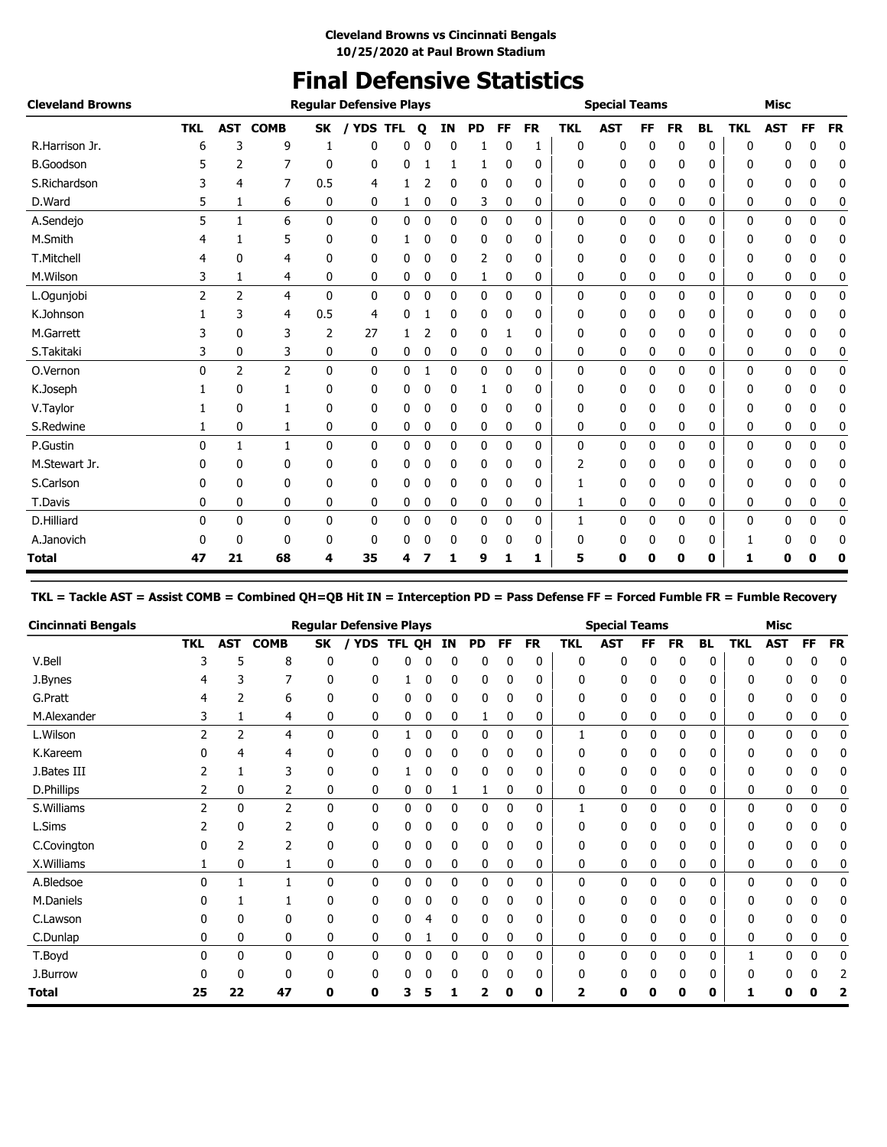## **Final Defensive Statistics**

| <b>Cleveland Browns</b> |                |                |                |              | <b>Regular Defensive Plays</b> |              |             |    |           |              |           |            | <b>Special Teams</b> |              |           |           |            | <b>Misc</b>  |           |             |
|-------------------------|----------------|----------------|----------------|--------------|--------------------------------|--------------|-------------|----|-----------|--------------|-----------|------------|----------------------|--------------|-----------|-----------|------------|--------------|-----------|-------------|
|                         | <b>TKL</b>     | <b>AST</b>     | <b>COMB</b>    | <b>SK</b>    | / YDS TFL                      |              | $\mathbf o$ | IN | <b>PD</b> | FF.          | <b>FR</b> | <b>TKL</b> | <b>AST</b>           | <b>FF</b>    | <b>FR</b> | <b>BL</b> | <b>TKL</b> | <b>AST</b>   | <b>FF</b> | <b>FR</b>   |
| R.Harrison Jr.          | 6              | 3              | 9              |              | 0                              | 0            |             | 0  |           | 0            |           | 0          | 0                    | 0            | 0         | 0         | 0          | ŋ            | 0         | 0           |
| <b>B.Goodson</b>        |                | 2              | 7              | 0            | 0                              | 0            |             |    |           | 0            | 0         | 0          | 0                    | 0            | 0         | 0         | 0          | 0            | 0         | 0           |
| S.Richardson            |                | 4              | 7              | 0.5          | 4                              |              | 2           | 0  | 0         | 0            | 0         | 0          | 0                    | 0            | 0         | 0         | 0          | 0            | 0         | 0           |
| D.Ward                  | 5              | 1              | 6              | 0            | 0                              | 1            | 0           | 0  | 3         | 0            | 0         | 0          | 0                    | 0            | 0         | 0         | 0          | 0            | 0         | 0           |
| A.Sendejo               | 5              | 1              | 6              | $\mathbf{0}$ | 0                              | 0            | 0           | 0  | 0         | $\mathbf{0}$ | 0         | 0          | 0                    | $\mathbf{0}$ | 0         | 0         | 0          | 0            | 0         | $\mathbf 0$ |
| M.Smith                 |                |                | 5              | 0            | 0                              |              | 0           | 0  | 0         | $\Omega$     | 0         | 0          | 0                    | 0            | 0         | 0         | 0          | 0            | 0         | 0           |
| T.Mitchell              |                | 0              | 4              | 0            | 0                              | 0            | 0           | 0  | 2         | 0            | 0         | 0          | 0                    | 0            | 0         | 0         | 0          | 0            | 0         | 0           |
| M.Wilson                | 3              | 1              | 4              | 0            | 0                              | 0            | 0           | 0  | 1         | 0            | 0         | 0          | 0                    | 0            | 0         | 0         | 0          | 0            | 0         | 0           |
| L.Ogunjobi              | $\overline{2}$ | $\overline{2}$ | 4              | $\mathbf{0}$ | 0                              | 0            | 0           | 0  | 0         | $\mathbf{0}$ | 0         | 0          | 0                    | 0            | 0         | 0         | 0          | $\mathbf{0}$ | 0         | 0           |
| K.Johnson               |                | 3              | 4              | 0.5          | 4                              | 0            |             | 0  | 0         | 0            | 0         | 0          | 0                    | 0            | 0         | 0         | 0          | 0            | 0         | 0           |
| M.Garrett               |                | $\Omega$       | 3              | 2            | 27                             |              |             | 0  | 0         |              | 0         | 0          | 0                    | 0            | 0         | 0         | 0          | 0            | 0         | 0           |
| S.Takitaki              | 3              | 0              | 3              | 0            | 0                              | 0            | 0           | 0  | 0         | 0            | 0         | 0          | 0                    | 0            | 0         | 0         | 0          | 0            | 0         | 0           |
| O.Vernon                | $\Omega$       | $\overline{2}$ | $\overline{2}$ | $\mathbf{0}$ | $\mathbf{0}$                   | $\mathbf{0}$ |             | 0  | 0         | 0            | 0         | 0          | 0                    | 0            | 0         | 0         | 0          | 0            | 0         | 0           |
| K.Joseph                |                | 0              |                | 0            | 0                              | 0            | 0           | 0  | 1         | 0            | 0         | 0          | 0                    | 0            | 0         | 0         | 0          | 0            | 0         | 0           |
| V.Taylor                |                | $\mathbf{0}$   | 1              | $\mathbf{0}$ | 0                              | 0            | 0           | 0  | 0         | 0            | 0         | 0          | 0                    | 0            | 0         | 0         | 0          | 0            | 0         | 0           |
| S.Redwine               |                | 0              | 1              | 0            | 0                              | 0            | 0           | 0  | 0         | 0            | 0         | 0          | 0                    | 0            | 0         | 0         | 0          | 0            | 0         | 0           |
| P.Gustin                | 0              | 1              | $\mathbf{1}$   | $\mathbf{0}$ | 0                              | 0            | 0           | 0  | 0         | 0            | 0         | 0          | 0                    | 0            | 0         | 0         | 0          | 0            | 0         | 0           |
| M.Stewart Jr.           | n              | 0              | 0              | 0            | 0                              | 0            | 0           | 0  | 0         | $\Omega$     | 0         | 2          | 0                    | 0            | 0         | 0         | 0          | 0            | 0         | 0           |
| S.Carlson               |                | 0              | 0              | $\mathbf{0}$ | 0                              | 0            | 0           | 0  | 0         | $\mathbf{0}$ | 0         | 1          | 0                    | 0            | 0         | 0         | 0          | 0            | 0         | 0           |
| T.Davis                 | 0              | 0              | 0              | 0            | 0                              | 0            | 0           | 0  | 0         | 0            | 0         | 1          | 0                    | 0            | 0         | 0         | 0          | 0            | 0         | 0           |
| D.Hilliard              | 0              | $\mathbf{0}$   | 0              | 0            | 0                              | 0            | 0           | 0  | 0         | $\mathbf{0}$ | 0         | 1          | 0                    | 0            | 0         | 0         | 0          | 0            | 0         | 0           |
| A.Janovich              |                | $\mathbf{0}$   | 0              | 0            | 0                              | 0            |             | 0  | 0         | 0            | 0         | 0          | 0                    | 0            | 0         | 0         |            | 0            | 0         | 0           |
| <b>Total</b>            | 47             | 21             | 68             | 4            | 35                             | 4            |             | 1  | 9         | 1            | 1         | 5          | 0                    | 0            | 0         | 0         | 1          | 0            | 0         | 0           |

**TKL = Tackle AST = Assist COMB = Combined QH=QB Hit IN = Interception PD = Pass Defense FF = Forced Fumble FR = Fumble Recovery**

| <b>Cincinnati Bengals</b> |            |              |              |          | <b>Regular Defensive Plays</b> |        |              |           |              |    |           |              | <b>Special Teams</b> |           |              |           |            | <b>Misc</b> |              |           |
|---------------------------|------------|--------------|--------------|----------|--------------------------------|--------|--------------|-----------|--------------|----|-----------|--------------|----------------------|-----------|--------------|-----------|------------|-------------|--------------|-----------|
|                           | <b>TKL</b> | <b>AST</b>   | <b>COMB</b>  | SK       | <b>YDS</b>                     | TFL OH |              | <b>IN</b> | <b>PD</b>    | FF | <b>FR</b> | <b>TKL</b>   | <b>AST</b>           | <b>FF</b> | <b>FR</b>    | <b>BL</b> | <b>TKL</b> | <b>AST</b>  | FF           | <b>FR</b> |
| V.Bell                    | 3          | 5            | 8            | 0        | 0                              | 0      | 0            | 0         | 0            | 0  | 0         | $\mathbf{0}$ | 0                    | 0         | $\mathbf{0}$ | 0         | U          |             | $\Omega$     | 0         |
| J.Bynes                   |            | 3            |              | 0        | 0                              |        | 0            | 0         | 0            | 0  | 0         | 0            | 0                    | 0         | 0            | 0         | 0          |             | 0            |           |
| G.Pratt                   | 4          | 2            | 6            | 0        | 0                              | 0      | 0            | 0         | 0            | 0  | 0         | 0            | 0                    | 0         | 0            | 0         | n          |             |              | 0         |
| M.Alexander               | 3          |              | 4            | 0        | 0                              | 0      | 0            | 0         |              | 0  | 0         | 0            | 0                    | 0         | 0            | 0         | 0          | 0           | 0            |           |
| L.Wilson                  | 2          | 2            | 4            | 0        | $\mathbf{0}$                   |        | 0            | 0         | $\mathbf{0}$ | 0  | 0         | 1            | 0                    | 0         | $\mathbf{0}$ | 0         | 0          | 0           | 0            | 0         |
| K.Kareem                  |            | 4            | 4            | 0        | 0                              | 0      | 0            | 0         | 0            | 0  | 0         | 0            | 0                    | 0         | 0            | 0         | 0          | 0           | 0            | 0         |
| J.Bates III               |            |              | 3            | 0        | 0                              |        | 0            | 0         | 0            | 0  | 0         | 0            | 0                    | 0         | 0            | 0         | n          | 0           | 0            | 0         |
| D.Phillips                |            | 0            | 2            | 0        | 0                              | 0      | 0            | 1         | 1            | 0  | 0         | 0            | 0                    | 0         | 0            | 0         | 0          | 0           | 0            |           |
| S.Williams                | 2          | 0            | 2            | 0        | $\mathbf{0}$                   | 0      | 0            | 0         | $\mathbf{0}$ | 0  | 0         |              | 0                    | 0         | 0            | 0         | O.         | 0           | 0            | 0         |
| L.Sims                    |            | 0            | 2            | 0        | 0                              | 0      | 0            | 0         | 0            | 0  | 0         | 0            | 0                    | 0         | 0            | 0         | 0          | 0           | 0            | 0         |
| C.Covington               |            | 2            | 2            | 0        | 0                              | 0      | 0            | 0         | 0            | 0  | 0         | 0            | 0                    | 0         | 0            | 0         | n          | 0           | 0            | 0         |
| X. Williams               |            | 0            |              | 0        | 0                              | 0      | 0            | 0         | 0            | 0  | 0         | 0            | 0                    | 0         | 0            | 0         | 0          | 0           | 0            | 0         |
| A.Bledsoe                 | U          |              |              | $\Omega$ | $\mathbf{0}$                   | 0      | $\mathbf{0}$ | 0         | 0            | 0  | 0         | $\mathbf{0}$ | 0                    | 0         | 0            | 0         | U          | 0           | $\mathbf{0}$ | 0         |
| M.Daniels                 |            |              |              | 0        | $\mathbf{0}$                   | 0      | 0            | 0         | $\mathbf{0}$ | 0  | 0         | $\Omega$     | 0                    | 0         | 0            | 0         | n          |             | U            | 0         |
| C.Lawson                  |            | 0            | 0            | 0        | 0                              | 0      | 4            | 0         | 0            | 0  | 0         | 0            | 0                    | 0         | 0            | 0         | 0          | 0           | 0            | 0         |
| C.Dunlap                  | 0          | 0            | 0            | 0        | 0                              | 0      |              | 0         | 0            | 0  | 0         | 0            | 0                    | 0         | 0            | 0         | 0          | 0           | 0            | 0         |
| T.Boyd                    |            | $\mathbf{0}$ | 0            | 0        | $\mathbf{0}$                   | 0      | 0            | 0         | 0            | 0  | 0         | 0            | 0                    | 0         | 0            | 0         |            | 0           | 0            | 0         |
| J.Burrow                  |            | 0            | <sup>0</sup> | U        | 0                              | 0      | 0            | 0         | 0            | 0  | 0         | 0            | 0                    | 0         | 0            | 0         | n          |             |              |           |
| <b>Total</b>              | 25         | 22           | 47           | 0        | 0                              |        | 5            |           |              | 0  | 0         | 2            | 0                    |           | 0            | 0         |            |             |              |           |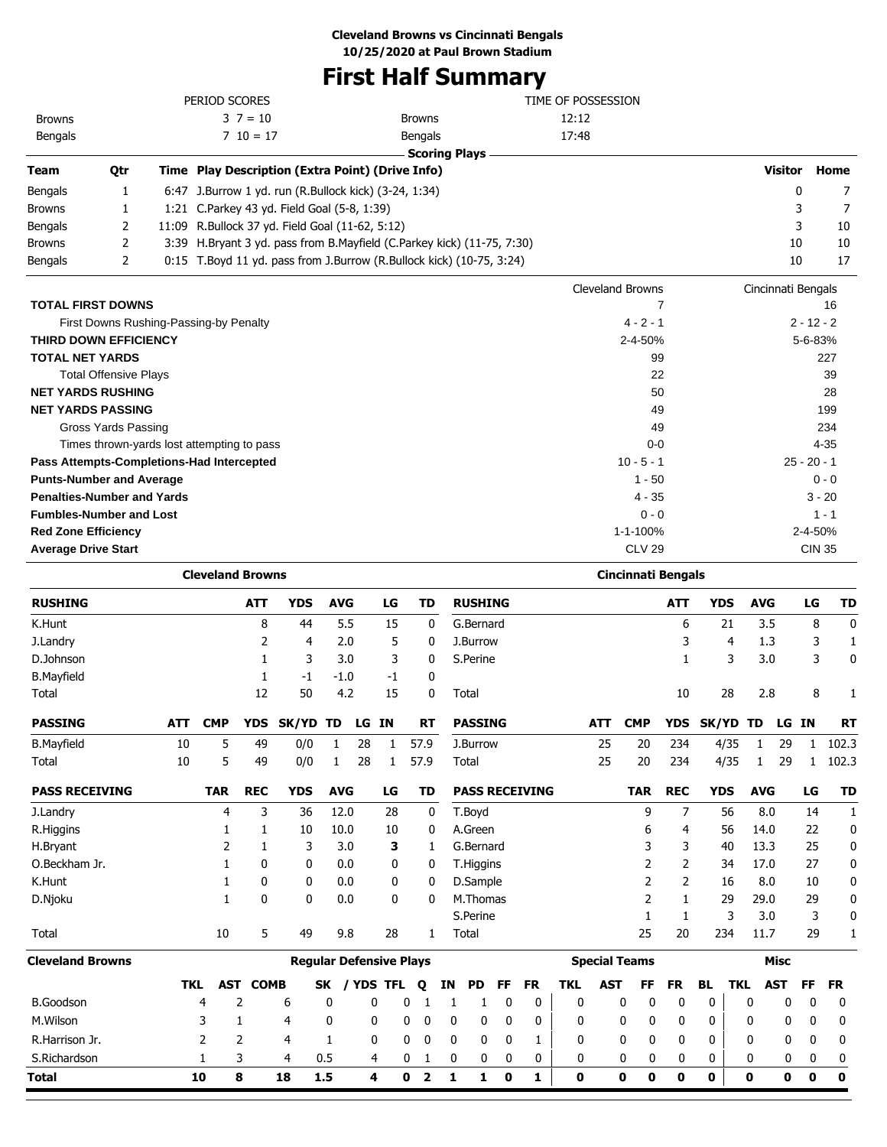## **First Half Summary**

|                                           |                                            |     |                         |              |                                                       |              |    |              |               | <b>FIFSL HAIL SUMMATY</b>                                              |                    |                           |              |              |                    |                |               |           |
|-------------------------------------------|--------------------------------------------|-----|-------------------------|--------------|-------------------------------------------------------|--------------|----|--------------|---------------|------------------------------------------------------------------------|--------------------|---------------------------|--------------|--------------|--------------------|----------------|---------------|-----------|
|                                           |                                            |     | PERIOD SCORES           |              |                                                       |              |    |              |               |                                                                        | TIME OF POSSESSION |                           |              |              |                    |                |               |           |
| <b>Browns</b>                             |                                            |     |                         | $3 \t7 = 10$ |                                                       |              |    |              | <b>Browns</b> |                                                                        | 12:12              |                           |              |              |                    |                |               |           |
| Bengals                                   |                                            |     |                         | $710 = 17$   |                                                       |              |    |              | Bengals       |                                                                        | 17:48              |                           |              |              |                    |                |               |           |
|                                           |                                            |     |                         |              |                                                       |              |    |              |               | <b>Scoring Plays</b>                                                   |                    |                           |              |              |                    |                |               |           |
| Team                                      | Qtr                                        |     |                         |              | Time Play Description (Extra Point) (Drive Info)      |              |    |              |               |                                                                        |                    |                           |              |              |                    | <b>Visitor</b> |               | Home      |
| Bengals                                   | 1                                          |     |                         |              | 6:47 J.Burrow 1 yd. run (R.Bullock kick) (3-24, 1:34) |              |    |              |               |                                                                        |                    |                           |              |              |                    | 0              |               | 7         |
| Browns                                    | 1                                          |     |                         |              | 1:21 C.Parkey 43 yd. Field Goal (5-8, 1:39)           |              |    |              |               |                                                                        |                    |                           |              |              |                    | 3              |               | 7         |
| Bengals                                   | 2                                          |     |                         |              | 11:09 R.Bullock 37 yd. Field Goal (11-62, 5:12)       |              |    |              |               |                                                                        |                    |                           |              |              |                    | 3              |               | 10        |
| <b>Browns</b>                             | 2                                          |     |                         |              |                                                       |              |    |              |               | 3:39 H.Bryant 3 yd. pass from B.Mayfield (C.Parkey kick) (11-75, 7:30) |                    |                           |              |              |                    | 10             |               | 10        |
| Bengals                                   | 2                                          |     |                         |              |                                                       |              |    |              |               | 0:15 T.Boyd 11 yd. pass from J.Burrow (R.Bullock kick) (10-75, 3:24)   |                    |                           |              |              |                    | 10             |               | 17        |
|                                           |                                            |     |                         |              |                                                       |              |    |              |               |                                                                        | Cleveland Browns   |                           |              |              | Cincinnati Bengals |                |               |           |
| <b>TOTAL FIRST DOWNS</b>                  |                                            |     |                         |              |                                                       |              |    |              |               |                                                                        |                    |                           | 7            |              |                    |                |               | 16        |
|                                           | First Downs Rushing-Passing-by Penalty     |     |                         |              |                                                       |              |    |              |               |                                                                        |                    | $4 - 2 - 1$               |              |              |                    |                | $2 - 12 - 2$  |           |
| <b>THIRD DOWN EFFICIENCY</b>              |                                            |     |                         |              |                                                       |              |    |              |               |                                                                        |                    | 2-4-50%                   |              |              |                    |                | 5-6-83%       |           |
| <b>TOTAL NET YARDS</b>                    |                                            |     |                         |              |                                                       |              |    |              |               |                                                                        |                    |                           | 99           |              |                    |                |               | 227       |
|                                           | <b>Total Offensive Plays</b>               |     |                         |              |                                                       |              |    |              |               |                                                                        |                    |                           | 22           |              |                    |                |               | 39        |
| <b>NET YARDS RUSHING</b>                  |                                            |     |                         |              |                                                       |              |    |              |               |                                                                        |                    |                           | 50           |              |                    |                |               | 28        |
| <b>NET YARDS PASSING</b>                  |                                            |     |                         |              |                                                       |              |    |              |               |                                                                        |                    |                           | 49           |              |                    |                |               | 199       |
|                                           | Gross Yards Passing                        |     |                         |              |                                                       |              |    |              |               |                                                                        |                    |                           | 49           |              |                    |                |               | 234       |
|                                           | Times thrown-yards lost attempting to pass |     |                         |              |                                                       |              |    |              |               |                                                                        |                    | $0 - 0$                   |              |              |                    |                | $4 - 35$      |           |
| Pass Attempts-Completions-Had Intercepted |                                            |     |                         |              |                                                       |              |    |              |               |                                                                        |                    | $10 - 5 - 1$              |              |              |                    |                | $25 - 20 - 1$ |           |
| <b>Punts-Number and Average</b>           |                                            |     |                         |              |                                                       |              |    |              |               |                                                                        |                    | $1 - 50$                  |              |              |                    |                | $0 - 0$       |           |
| <b>Penalties-Number and Yards</b>         |                                            |     |                         |              |                                                       |              |    |              |               |                                                                        |                    | $4 - 35$                  |              |              |                    |                | $3 - 20$      |           |
| <b>Fumbles-Number and Lost</b>            |                                            |     |                         |              |                                                       |              |    |              |               |                                                                        |                    | $0 - 0$                   |              |              |                    |                | $1 - 1$       |           |
| <b>Red Zone Efficiency</b>                |                                            |     |                         |              |                                                       |              |    |              |               |                                                                        |                    | 1-1-100%                  |              |              |                    |                | 2-4-50%       |           |
| <b>Average Drive Start</b>                |                                            |     |                         |              |                                                       |              |    |              |               |                                                                        |                    | <b>CLV 29</b>             |              |              |                    |                | <b>CIN 35</b> |           |
|                                           |                                            |     | <b>Cleveland Browns</b> |              |                                                       |              |    |              |               |                                                                        |                    | <b>Cincinnati Bengals</b> |              |              |                    |                |               |           |
| <b>RUSHING</b>                            |                                            |     |                         | <b>ATT</b>   | <b>YDS</b>                                            | <b>AVG</b>   |    | LG           | <b>TD</b>     | <b>RUSHING</b>                                                         |                    |                           | ATT          | <b>YDS</b>   | <b>AVG</b>         |                | LG            | <b>TD</b> |
| K.Hunt                                    |                                            |     |                         | 8            | 44                                                    | 5.5          |    | 15           | 0             | G.Bernard                                                              |                    |                           | 6            | 21           | 3.5                |                | 8             | 0         |
| J.Landry                                  |                                            |     |                         | 2            | 4                                                     | 2.0          |    | 5            | 0             | J.Burrow                                                               |                    |                           | 3            | 4            | 1.3                |                | 3             | 1         |
| D.Johnson                                 |                                            |     |                         | 1            | 3                                                     | 3.0          |    | 3            | 0             | S.Perine                                                               |                    |                           | 1            | 3            | 3.0                |                | 3             | 0         |
| <b>B.Mayfield</b>                         |                                            |     |                         | 1            | -1                                                    | $-1.0$       |    | $-1$         | 0             |                                                                        |                    |                           |              |              |                    |                |               |           |
| Total                                     |                                            |     |                         | 12           | 50                                                    | 4.2          |    | 15           | 0             | Total                                                                  |                    |                           | 10           | 28           | 2.8                |                | 8             | 1         |
| <b>PASSING</b>                            |                                            | ATT | <b>CMP</b>              |              | YDS SK/YD TD LG IN                                    |              |    |              | RT            | PASSING                                                                | ATT                | <b>CMP</b>                |              | YDS SK/YD TD |                    | LG IN          |               | RT        |
| <b>B.Mayfield</b>                         |                                            | 10  | 5                       | 49           | 0/0                                                   | $\mathbf{1}$ | 28 | $\mathbf{1}$ | 57.9          | J.Burrow                                                               | 25                 | 20                        | 234          | 4/35         | 1                  | 29             | $\mathbf{1}$  | 102.3     |
| Total                                     |                                            | 10  | 5                       | 49           | 0/0                                                   | $\mathbf{1}$ | 28 | $\mathbf{1}$ | 57.9          | Total                                                                  | 25                 | 20                        | 234          | 4/35         | $\mathbf{1}$       | 29             | $\mathbf{1}$  | 102.3     |
| <b>PASS RECEIVING</b>                     |                                            |     | <b>TAR</b>              | <b>REC</b>   | <b>YDS</b>                                            | <b>AVG</b>   |    | LG           | TD            | <b>PASS RECEIVING</b>                                                  |                    | <b>TAR</b>                | <b>REC</b>   | <b>YDS</b>   | <b>AVG</b>         |                | LG            | <b>TD</b> |
| J.Landry                                  |                                            |     | $\overline{4}$          | 3            | 36                                                    | 12.0         |    | 28           | 0             | T.Boyd                                                                 |                    | 9                         | 7            | 56           | 8.0                |                | 14            | 1         |
| R.Higgins                                 |                                            |     | 1                       | 1            | 10                                                    | 10.0         |    | 10           | 0             | A.Green                                                                |                    | 6                         | 4            | 56           | 14.0               |                | 22            | 0         |
| H.Bryant                                  |                                            |     | 2                       | 1            | 3                                                     | 3.0          |    | 3            | 1             | G.Bernard                                                              |                    | 3                         | 3            | 40           | 13.3               |                | 25            | 0         |
| O.Beckham Jr.                             |                                            |     | 1                       | 0            | 0                                                     | 0.0          |    | 0            | 0             | T.Higgins                                                              |                    | 2                         | 2            | 34           | 17.0               |                | 27            | 0         |
| K.Hunt                                    |                                            |     | 1                       | 0            | 0                                                     | 0.0          |    | 0            | 0             | D.Sample                                                               |                    | 2                         | 2            | 16           | 8.0                |                | 10            | 0         |
| D.Njoku                                   |                                            |     | $\mathbf{1}$            | 0            | 0                                                     | 0.0          |    | 0            | 0             | M.Thomas                                                               |                    | 2                         | $\mathbf{1}$ | 29           | 29.0               |                | 29            | 0         |
|                                           |                                            |     |                         |              |                                                       |              |    |              |               | S.Perine                                                               |                    | 1                         | $\mathbf{1}$ | 3            | 3.0                |                | 3             | 0         |
| Total                                     |                                            |     | $10\,$                  | 5            | 49                                                    | 9.8          |    | 28           | $\mathbf{1}$  | Total                                                                  |                    | 25                        | 20           | 234          | 11.7               |                | 29            | 1         |

| <b>Cleveland Browns</b> |     |     |             |     | <b>Regular Defensive Plays</b> |             |    |          |   |   |     | <b>Special Teams</b> |   |       |     |     | Misc |          |           |
|-------------------------|-----|-----|-------------|-----|--------------------------------|-------------|----|----------|---|---|-----|----------------------|---|-------|-----|-----|------|----------|-----------|
|                         | TKL | AST | <b>COMB</b> | SK. | 'Yds tfl                       | $\mathbf o$ | IN | PD FF FR |   |   | TKL | AST                  |   | FF FR | BL. | TKL | AST  | FF.      | <b>FR</b> |
| <b>B.Goodson</b>        | 4   |     | 6           |     |                                |             |    |          |   |   | 0   |                      | 0 |       | 0   | 0   |      | 0        | - 0       |
| M.Wilson                |     |     | 4           | 0   |                                |             |    |          |   |   | 0   |                      | 0 |       | 0   | 0   |      | $\Omega$ | - 0       |
| R. Harrison Jr.         |     |     | 4           |     |                                | 0           |    |          |   |   | 0   |                      |   |       | 0   | 0   |      | $\Omega$ | - 0       |
| S.Richardson            |     |     | 4           | 0.5 |                                |             |    |          |   | 0 | 0   | 0                    |   |       | 0   | 0   |      | $\Omega$ | - 0       |
| <b>Total</b>            | 10  | 8   | 18          | 1.5 |                                |             |    |          | 0 |   | 0   | 0                    | o | 0     | 0   | 0   |      | 0        | 0         |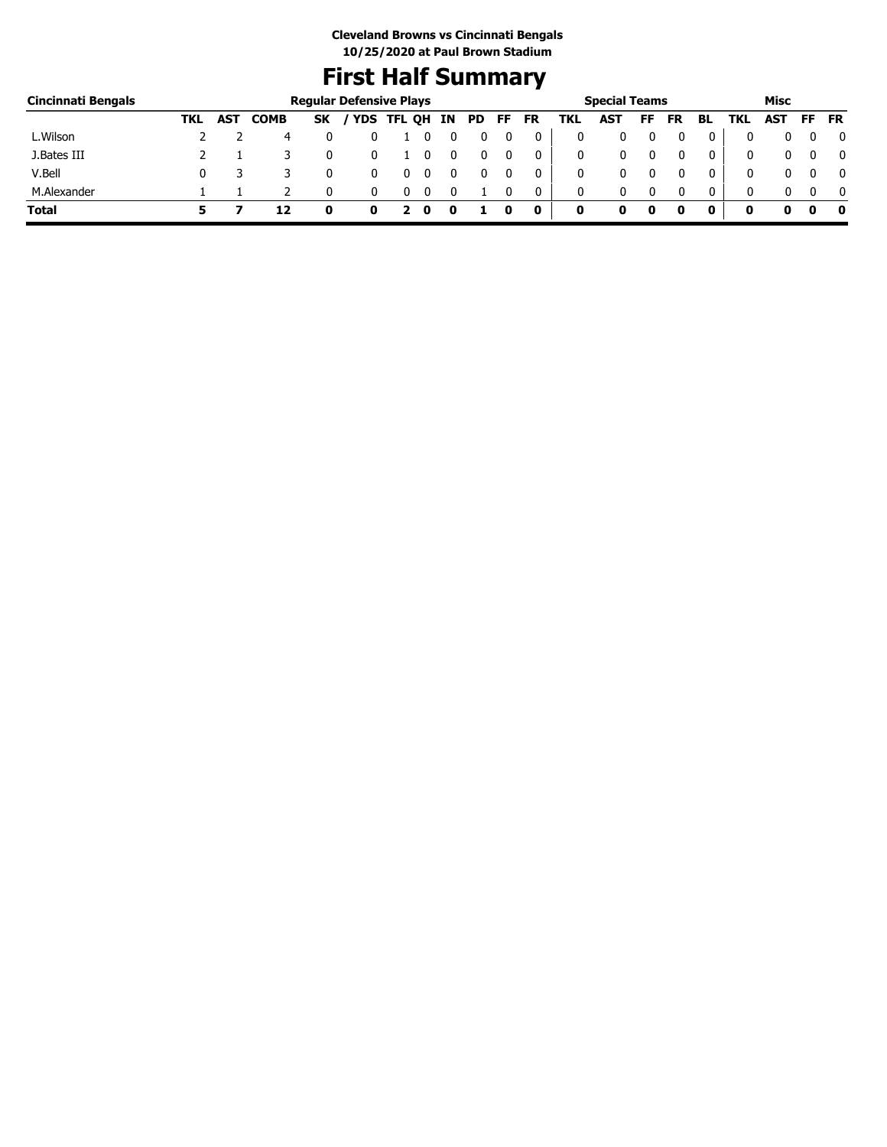## **First Half Summary**

| Cincinnati Bengals |     |     |             |           | <b>Regular Defensive Plays</b> |        |    |     |    |    |     | <b>Special Teams</b> |    |           |    |     | Misc |    |           |
|--------------------|-----|-----|-------------|-----------|--------------------------------|--------|----|-----|----|----|-----|----------------------|----|-----------|----|-----|------|----|-----------|
|                    | TKL | AST | <b>COMB</b> | <b>SK</b> | <b>YDS</b>                     | TFL QH | ΙN | PD. | FF | FR | TKL | <b>AST</b>           | FF | <b>FR</b> | BL | TKL | AST  | FF | <b>FR</b> |
| L.Wilson           |     |     | 4           |           |                                |        |    |     |    |    | 0   |                      |    |           | 0  |     |      |    | $\bf{0}$  |
| J.Bates III        |     |     |             |           |                                |        |    |     |    | 0  | 0   |                      |    |           | 0  |     |      |    | 0         |
| V.Bell             |     |     |             |           |                                |        |    |     |    | 0  | 0   |                      |    |           | 0  |     |      |    | 0         |
| M.Alexander        |     |     |             |           |                                |        |    |     |    |    | 0   |                      |    |           | 0  |     |      |    | $\Omega$  |
| <b>Total</b>       |     |     | 12          |           |                                |        |    |     |    | 0  | 0   | o                    | 0  |           |    | O   |      |    | 0         |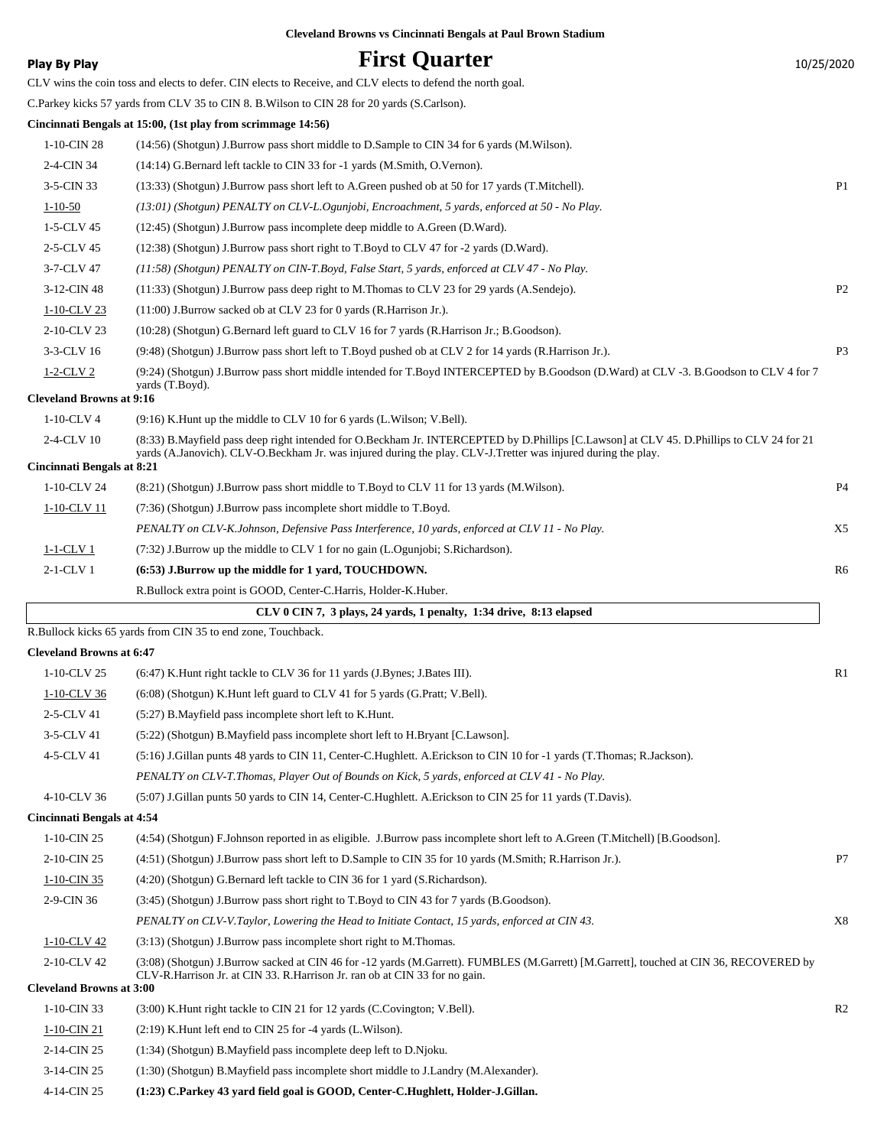|                                   | <b>Cleveland Browns vs Cincinnati Bengals at Paul Brown Stadium</b>                                                                      |                |
|-----------------------------------|------------------------------------------------------------------------------------------------------------------------------------------|----------------|
| <b>Play By Play</b>               | <b>First Quarter</b>                                                                                                                     | 10/25/2020     |
|                                   | CLV wins the coin toss and elects to defer. CIN elects to Receive, and CLV elects to defend the north goal.                              |                |
|                                   | C.Parkey kicks 57 yards from CLV 35 to CIN 8. B. Wilson to CIN 28 for 20 yards (S.Carlson).                                              |                |
|                                   | Cincinnati Bengals at 15:00, (1st play from scrimmage 14:56)                                                                             |                |
| 1-10-CIN 28                       | (14:56) (Shotgun) J.Burrow pass short middle to D.Sample to CIN 34 for 6 yards (M.Wilson).                                               |                |
| 2-4-CIN 34                        | (14:14) G.Bernard left tackle to CIN 33 for -1 yards (M.Smith, O.Vernon).                                                                |                |
| 3-5-CIN 33                        | (13:33) (Shotgun) J.Burrow pass short left to A.Green pushed ob at 50 for 17 yards (T.Mitchell).                                         | P1             |
| $1 - 10 - 50$                     | (13:01) (Shotgun) PENALTY on CLV-L.Ogunjobi, Encroachment, 5 yards, enforced at 50 - No Play.                                            |                |
| 1-5-CLV 45                        | (12:45) (Shotgun) J.Burrow pass incomplete deep middle to A.Green (D.Ward).                                                              |                |
| 2-5-CLV 45                        | $(12:38)$ (Shotgun) J.Burrow pass short right to T.Boyd to CLV 47 for -2 yards (D.Ward).                                                 |                |
| 3-7-CLV 47                        | (11:58) (Shotgun) PENALTY on CIN-T.Boyd, False Start, 5 yards, enforced at CLV 47 - No Play.                                             |                |
| 3-12-CIN 48                       | $(11:33)$ (Shotgun) J.Burrow pass deep right to M.Thomas to CLV 23 for 29 yards (A.Sendejo).                                             | P <sub>2</sub> |
| 1-10-CLV 23                       | (11:00) J.Burrow sacked ob at CLV 23 for 0 yards (R.Harrison Jr.).                                                                       |                |
| 2-10-CLV 23                       | (10:28) (Shotgun) G.Bernard left guard to CLV 16 for 7 yards (R.Harrison Jr.; B.Goodson).                                                |                |
| 3-3-CLV 16                        | (9:48) (Shotgun) J.Burrow pass short left to T.Boyd pushed ob at CLV 2 for 14 yards (R.Harrison Jr.).                                    | P3             |
| $1-2$ -CLV 2                      | (9:24) (Shotgun) J.Burrow pass short middle intended for T.Boyd INTERCEPTED by B.Goodson (D.Ward) at CLV -3. B.Goodson to CLV 4 for 7    |                |
| <b>Cleveland Browns at 9:16</b>   | yards (T.Boyd).                                                                                                                          |                |
| $1-10$ -CLV 4                     | (9:16) K. Hunt up the middle to CLV 10 for 6 yards (L. Wilson; V. Bell).                                                                 |                |
| 2-4-CLV 10                        | (8:33) B.Mayfield pass deep right intended for O.Beckham Jr. INTERCEPTED by D.Phillips [C.Lawson] at CLV 45. D.Phillips to CLV 24 for 21 |                |
| <b>Cincinnati Bengals at 8:21</b> | yards (A.Janovich). CLV-O.Beckham Jr. was injured during the play. CLV-J.Tretter was injured during the play.                            |                |
| 1-10-CLV 24                       | (8.21) (Shotgun) J.Burrow pass short middle to T.Boyd to CLV 11 for 13 yards (M.Wilson).                                                 | <b>P4</b>      |
| 1-10-CLV 11                       | (7:36) (Shotgun) J.Burrow pass incomplete short middle to T.Boyd.                                                                        |                |
|                                   | PENALTY on CLV-K.Johnson, Defensive Pass Interference, 10 yards, enforced at CLV 11 - No Play.                                           | X5             |
| 1-1-CLV 1                         | $(7.32)$ J.Burrow up the middle to CLV 1 for no gain (L.Ogunjobi; S.Richardson).                                                         |                |
| $2-1$ -CLV 1                      | (6:53) J.Burrow up the middle for 1 yard, TOUCHDOWN.                                                                                     | R6             |
|                                   | R.Bullock extra point is GOOD, Center-C.Harris, Holder-K.Huber.                                                                          |                |
|                                   | CLV 0 CIN 7, 3 plays, 24 yards, 1 penalty, 1:34 drive, 8:13 elapsed                                                                      |                |
|                                   | R.Bullock kicks 65 yards from CIN 35 to end zone, Touchback.                                                                             |                |
| <b>Cleveland Browns at 6:47</b>   |                                                                                                                                          |                |
| 1-10-CLV 25                       | (6:47) K. Hunt right tackle to CLV 36 for 11 yards (J. Bynes; J. Bates III).                                                             | R1             |
| 1-10-CLV 36                       | (6:08) (Shotgun) K.Hunt left guard to CLV 41 for 5 yards (G.Pratt; V.Bell).                                                              |                |
| 2-5-CLV 41                        | (5:27) B.Mayfield pass incomplete short left to K.Hunt.                                                                                  |                |
| 3-5-CLV 41                        | (5:22) (Shotgun) B.Mayfield pass incomplete short left to H.Bryant [C.Lawson].                                                           |                |
| 4-5-CLV 41                        | (5:16) J.Gillan punts 48 yards to CIN 11, Center-C.Hughlett. A.Erickson to CIN 10 for -1 yards (T.Thomas; R.Jackson).                    |                |
|                                   | PENALTY on CLV-T.Thomas, Player Out of Bounds on Kick, 5 yards, enforced at CLV 41 - No Play.                                            |                |
| 4-10-CLV 36                       | (5:07) J.Gillan punts 50 yards to CIN 14, Center-C.Hughlett. A.Erickson to CIN 25 for 11 yards (T.Davis).                                |                |
| <b>Cincinnati Bengals at 4:54</b> |                                                                                                                                          |                |
| 1-10-CIN 25                       | (4:54) (Shotgun) F.Johnson reported in as eligible. J.Burrow pass incomplete short left to A.Green (T.Mitchell) [B.Goodson].             |                |
| 2-10-CIN 25                       | (4:51) (Shotgun) J.Burrow pass short left to D.Sample to CIN 35 for 10 yards (M.Smith; R.Harrison Jr.).                                  | P7             |
| 1-10-CIN 35                       | (4:20) (Shotgun) G.Bernard left tackle to CIN 36 for 1 yard (S.Richardson).                                                              |                |
| 2-9-CIN 36                        | (3:45) (Shotgun) J.Burrow pass short right to T.Boyd to CIN 43 for 7 yards (B.Goodson).                                                  |                |
|                                   | PENALTY on CLV-V.Taylor, Lowering the Head to Initiate Contact, 15 yards, enforced at CIN 43.                                            | X8             |
| 1-10-CLV 42                       | (3:13) (Shotgun) J.Burrow pass incomplete short right to M.Thomas.                                                                       |                |
| 2-10-CLV 42                       | (3:08) (Shotgun) J.Burrow sacked at CIN 46 for -12 yards (M.Garrett). FUMBLES (M.Garrett) [M.Garrett], touched at CIN 36, RECOVERED by   |                |
| <b>Cleveland Browns at 3:00</b>   | CLV-R.Harrison Jr. at CIN 33. R.Harrison Jr. ran ob at CIN 33 for no gain.                                                               |                |
| 1-10-CIN 33                       | (3:00) K. Hunt right tackle to CIN 21 for 12 yards (C. Covington; V. Bell).                                                              | R <sub>2</sub> |
| 1-10-CIN 21                       | $(2:19)$ K. Hunt left end to CIN 25 for -4 yards (L. Wilson).                                                                            |                |
| 2-14-CIN 25                       | (1:34) (Shotgun) B.Mayfield pass incomplete deep left to D.Njoku.                                                                        |                |
| 3-14-CIN 25                       | (1:30) (Shotgun) B.Mayfield pass incomplete short middle to J.Landry (M.Alexander).                                                      |                |
|                                   |                                                                                                                                          |                |

4-14-CIN 25 **(1:23) C.Parkey 43 yard field goal is GOOD, Center-C.Hughlett, Holder-J.Gillan.**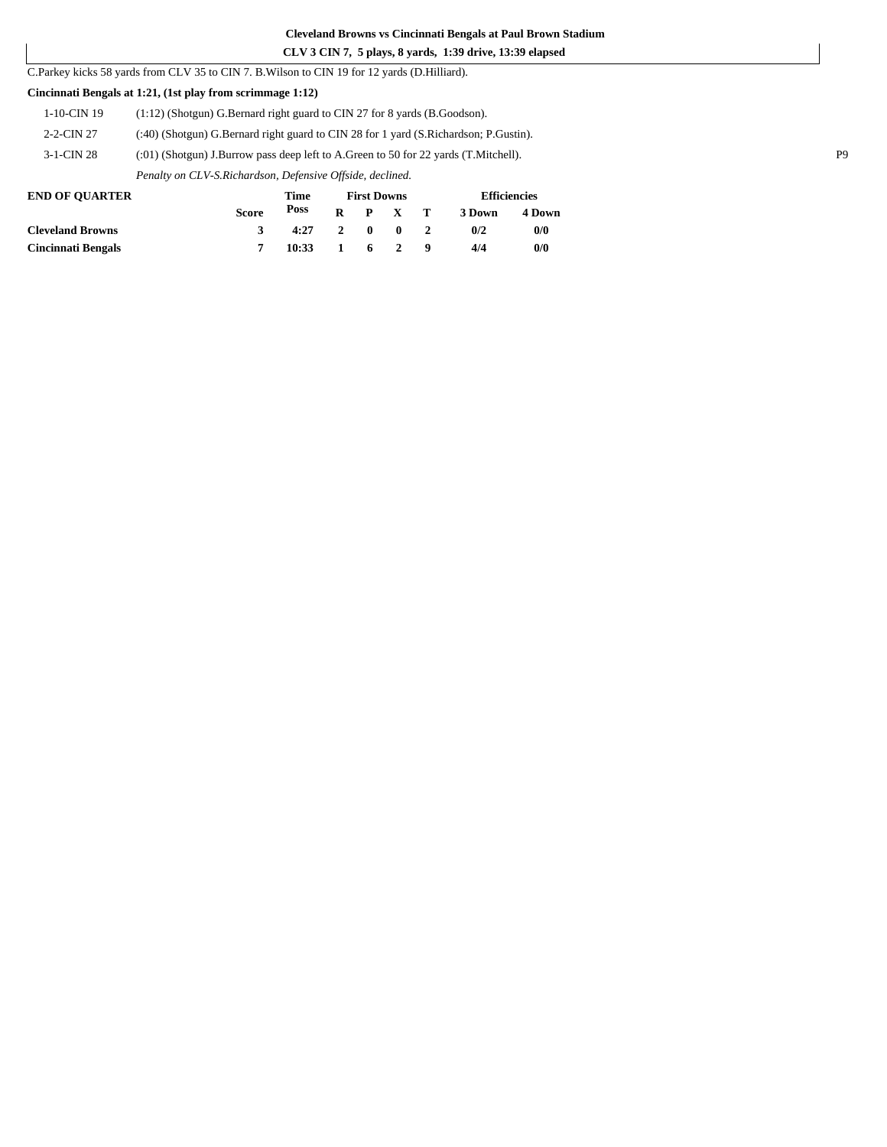#### **CLV 3 CIN 7, 5 plays, 8 yards, 1:39 drive, 13:39 elapsed**

C.Parkey kicks 58 yards from CLV 35 to CIN 7. B.Wilson to CIN 19 for 12 yards (D.Hilliard).

#### **Cincinnati Bengals at 1:21, (1st play from scrimmage 1:12)**

| <b>END OF OUARTER</b> | Time<br><b>First Downs</b>                                                             | <b>Efficiencies</b> |  |  |  |  |
|-----------------------|----------------------------------------------------------------------------------------|---------------------|--|--|--|--|
|                       | Penalty on CLV-S.Richardson, Defensive Offside, declined.                              |                     |  |  |  |  |
| $3-1$ -CIN 28         | $(0.01)$ (Shotgun) J.Burrow pass deep left to A.Green to 50 for 22 yards (T.Mitchell). |                     |  |  |  |  |
| 2-2-CIN 27            | (:40) (Shotgun) G.Bernard right guard to CIN 28 for 1 yard (S.Richardson; P.Gustin).   |                     |  |  |  |  |
| $1-10$ -CIN 19        | $(1:12)$ (Shotgun) G.Bernard right guard to CIN 27 for 8 yards (B.Goodson).            |                     |  |  |  |  |

|                         | <b>Score</b> |                 |  |  | Poss R P X T 3 Down | 4 Down |
|-------------------------|--------------|-----------------|--|--|---------------------|--------|
| <b>Cleveland Browns</b> |              | $4:27$ 2 0 0 2  |  |  | 0/2                 | 0/0    |
| Cincinnati Bengals      |              | $10:33$ 1 6 2 9 |  |  | 4/4                 | 0/0    |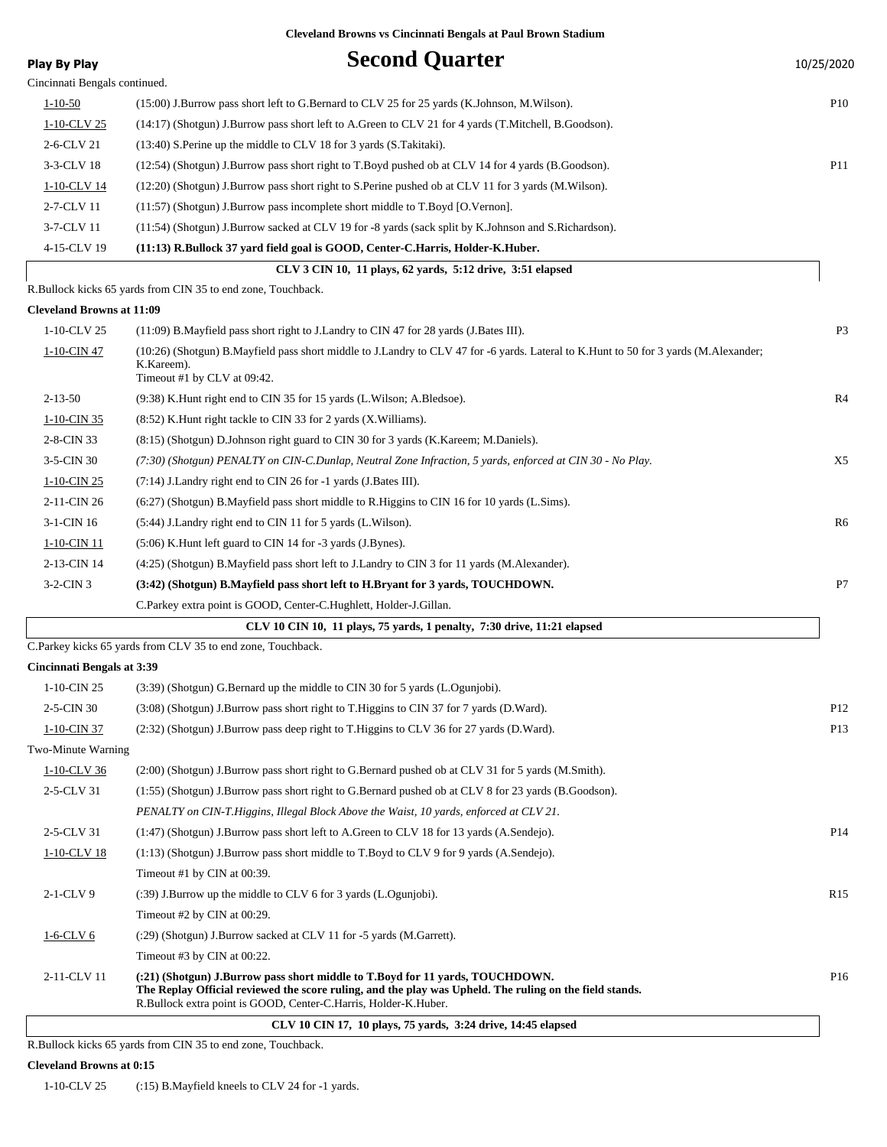| <b>Play By Play</b>               | <b>Second Quarter</b>                                                                                                                                                                                                                                       | 10/25/2020      |
|-----------------------------------|-------------------------------------------------------------------------------------------------------------------------------------------------------------------------------------------------------------------------------------------------------------|-----------------|
| Cincinnati Bengals continued.     |                                                                                                                                                                                                                                                             |                 |
| $1 - 10 - 50$                     | (15:00) J.Burrow pass short left to G.Bernard to CLV 25 for 25 yards (K.Johnson, M.Wilson).                                                                                                                                                                 | <b>P10</b>      |
| 1-10-CLV 25                       | (14:17) (Shotgun) J.Burrow pass short left to A.Green to CLV 21 for 4 yards (T.Mitchell, B.Goodson).                                                                                                                                                        |                 |
| 2-6-CLV 21                        | (13:40) S. Perine up the middle to CLV 18 for 3 yards (S. Takitaki).                                                                                                                                                                                        |                 |
| 3-3-CLV 18                        | (12:54) (Shotgun) J.Burrow pass short right to T.Boyd pushed ob at CLV 14 for 4 yards (B.Goodson).                                                                                                                                                          | P11             |
| <u>1-10-CLV 14</u>                | (12:20) (Shotgun) J.Burrow pass short right to S.Perine pushed ob at CLV 11 for 3 yards (M.Wilson).                                                                                                                                                         |                 |
| 2-7-CLV 11                        | (11:57) (Shotgun) J.Burrow pass incomplete short middle to T.Boyd [O.Vernon].                                                                                                                                                                               |                 |
| 3-7-CLV 11                        | (11:54) (Shotgun) J.Burrow sacked at CLV 19 for -8 yards (sack split by K.Johnson and S.Richardson).                                                                                                                                                        |                 |
| 4-15-CLV 19                       | (11:13) R.Bullock 37 yard field goal is GOOD, Center-C.Harris, Holder-K.Huber.                                                                                                                                                                              |                 |
|                                   | CLV 3 CIN 10, 11 plays, 62 yards, 5:12 drive, 3:51 elapsed                                                                                                                                                                                                  |                 |
|                                   | R.Bullock kicks 65 yards from CIN 35 to end zone, Touchback.                                                                                                                                                                                                |                 |
| <b>Cleveland Browns at 11:09</b>  |                                                                                                                                                                                                                                                             |                 |
| 1-10-CLV 25                       | (11:09) B. Mayfield pass short right to J. Landry to CIN 47 for 28 yards (J. Bates III).                                                                                                                                                                    | P <sub>3</sub>  |
| 1-10-CIN 47                       | (10:26) (Shotgun) B.Mayfield pass short middle to J.Landry to CLV 47 for -6 yards. Lateral to K.Hunt to 50 for 3 yards (M.Alexander;<br>K.Kareem).<br>Timeout #1 by CLV at 09:42.                                                                           |                 |
| $2 - 13 - 50$                     | (9:38) K. Hunt right end to CIN 35 for 15 yards (L. Wilson; A. Bledsoe).                                                                                                                                                                                    | R <sub>4</sub>  |
| 1-10-CIN 35                       | (8:52) K. Hunt right tackle to CIN 33 for 2 yards (X. Williams).                                                                                                                                                                                            |                 |
| 2-8-CIN 33                        |                                                                                                                                                                                                                                                             |                 |
| 3-5-CIN 30                        | (8.15) (Shotgun) D.Johnson right guard to CIN 30 for 3 yards (K.Kareem; M.Daniels).                                                                                                                                                                         | X5              |
|                                   | (7:30) (Shotgun) PENALTY on CIN-C.Dunlap, Neutral Zone Infraction, 5 yards, enforced at CIN 30 - No Play.                                                                                                                                                   |                 |
| 1-10-CIN 25                       | (7:14) J.Landry right end to CIN 26 for -1 yards (J.Bates III).                                                                                                                                                                                             |                 |
| 2-11-CIN 26                       | (6:27) (Shotgun) B.Mayfield pass short middle to R.Higgins to CIN 16 for 10 yards (L.Sims).                                                                                                                                                                 |                 |
| 3-1-CIN 16                        | (5:44) J. Landry right end to CIN 11 for 5 yards (L. Wilson).                                                                                                                                                                                               | R6              |
| 1-10-CIN 11                       | (5:06) K.Hunt left guard to CIN 14 for -3 yards (J.Bynes).                                                                                                                                                                                                  |                 |
| 2-13-CIN 14                       | (4:25) (Shotgun) B.Mayfield pass short left to J.Landry to CIN 3 for 11 yards (M.Alexander).                                                                                                                                                                |                 |
| $3-2$ -CIN $3$                    | (3:42) (Shotgun) B.Mayfield pass short left to H.Bryant for 3 yards, TOUCHDOWN.                                                                                                                                                                             | P7              |
|                                   | C. Parkey extra point is GOOD, Center-C. Hughlett, Holder-J. Gillan.                                                                                                                                                                                        |                 |
|                                   | CLV 10 CIN 10, 11 plays, 75 yards, 1 penalty, 7:30 drive, 11:21 elapsed                                                                                                                                                                                     |                 |
|                                   | C.Parkey kicks 65 yards from CLV 35 to end zone, Touchback.                                                                                                                                                                                                 |                 |
| <b>Cincinnati Bengals at 3:39</b> |                                                                                                                                                                                                                                                             |                 |
| 1-10-CIN 25                       | (3:39) (Shotgun) G.Bernard up the middle to CIN 30 for 5 yards (L.Ogunjobi).                                                                                                                                                                                |                 |
| 2-5-CIN 30                        | (3:08) (Shotgun) J.Burrow pass short right to T.Higgins to CIN 37 for 7 yards (D.Ward).                                                                                                                                                                     | P <sub>12</sub> |
| 1-10-CIN 37                       | (2:32) (Shotgun) J.Burrow pass deep right to T.Higgins to CLV 36 for 27 yards (D.Ward).                                                                                                                                                                     | P <sub>13</sub> |
| Two-Minute Warning                |                                                                                                                                                                                                                                                             |                 |
| 1-10-CLV 36                       | (2:00) (Shotgun) J.Burrow pass short right to G.Bernard pushed ob at CLV 31 for 5 yards (M.Smith).                                                                                                                                                          |                 |
| 2-5-CLV 31                        | (1:55) (Shotgun) J.Burrow pass short right to G.Bernard pushed ob at CLV 8 for 23 yards (B.Goodson).                                                                                                                                                        |                 |
|                                   | PENALTY on CIN-T.Higgins, Illegal Block Above the Waist, 10 yards, enforced at CLV 21.                                                                                                                                                                      |                 |
| 2-5-CLV 31                        | (1:47) (Shotgun) J.Burrow pass short left to A.Green to CLV 18 for 13 yards (A.Sendejo).                                                                                                                                                                    | P <sub>14</sub> |
| 1-10-CLV 18                       | $(1.13)$ (Shotgun) J.Burrow pass short middle to T.Boyd to CLV 9 for 9 yards (A.Sendejo).                                                                                                                                                                   |                 |
|                                   | Timeout #1 by CIN at 00:39.                                                                                                                                                                                                                                 |                 |
| $2-1$ -CLV 9                      | $(39)$ J.Burrow up the middle to CLV 6 for 3 yards (L.Ogunjobi).                                                                                                                                                                                            | R <sub>15</sub> |
|                                   | Timeout #2 by CIN at 00:29.                                                                                                                                                                                                                                 |                 |
| $1-6$ -CLV $6$                    | (:29) (Shotgun) J.Burrow sacked at CLV 11 for -5 yards (M.Garrett).                                                                                                                                                                                         |                 |
|                                   | Timeout #3 by CIN at 00:22.                                                                                                                                                                                                                                 |                 |
| 2-11-CLV 11                       | (:21) (Shotgun) J.Burrow pass short middle to T.Boyd for 11 yards, TOUCHDOWN.<br>The Replay Official reviewed the score ruling, and the play was Upheld. The ruling on the field stands.<br>R.Bullock extra point is GOOD, Center-C.Harris, Holder-K.Huber. | P <sub>16</sub> |
|                                   | CLV 10 CIN 17, 10 plays, 75 yards, 3:24 drive, 14:45 elapsed                                                                                                                                                                                                |                 |

R.Bullock kicks 65 yards from CIN 35 to end zone, Touchback.

#### **Cleveland Browns at 0:15**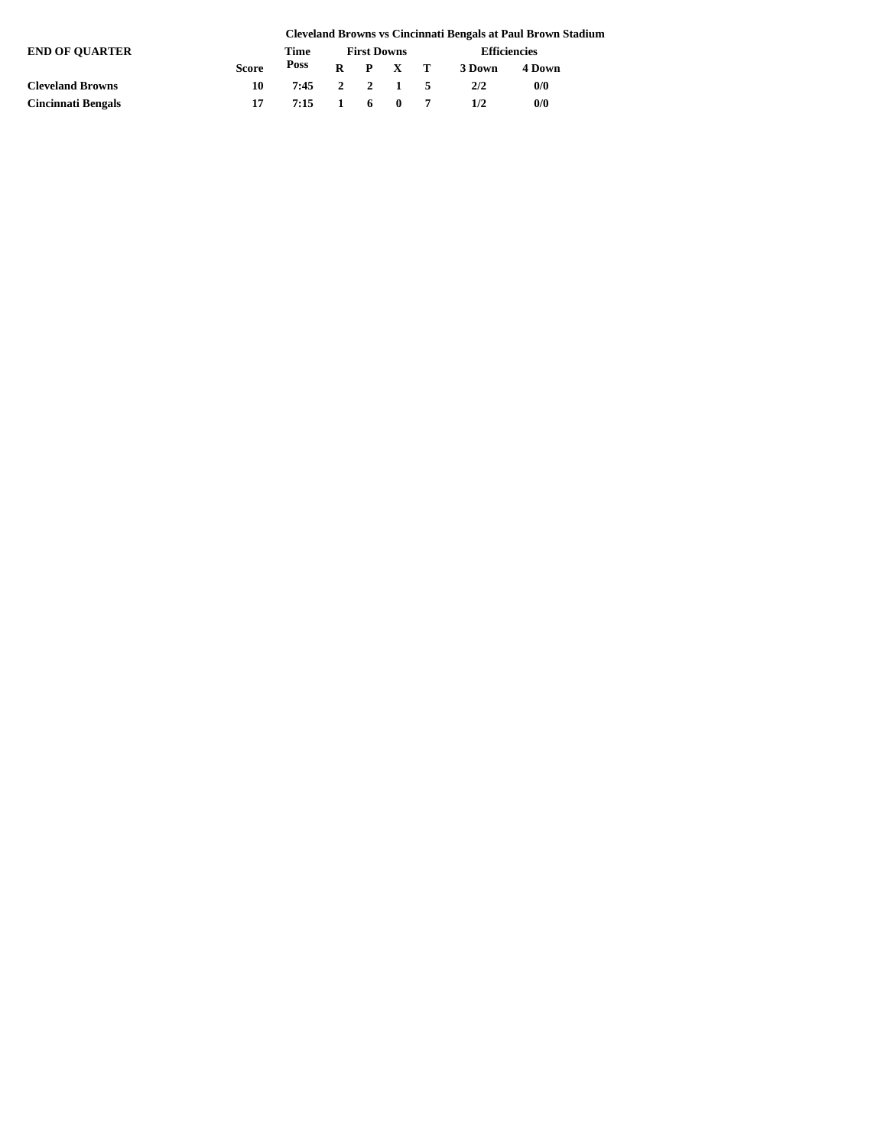|                           |              |              |                    |  |         |                     |        | <b>Cleveland Browns vs Cincinnati Bengals at Paul Brown Stadium</b> |  |
|---------------------------|--------------|--------------|--------------------|--|---------|---------------------|--------|---------------------------------------------------------------------|--|
| <b>END OF OUARTER</b>     |              | Time         | <b>First Downs</b> |  |         | <b>Efficiencies</b> |        |                                                                     |  |
|                           | <b>Score</b> | Poss         |                    |  |         | $R$ $P$ $X$ $T$     | 3 Down | 4 Down                                                              |  |
| <b>Cleveland Browns</b>   | 10           | 7:45         |                    |  | 2 2 1 5 |                     | 2/2    | 0/0                                                                 |  |
| <b>Cincinnati Bengals</b> | 17           | 7:15 1 6 0 7 |                    |  |         |                     | 1/2    | 0/0                                                                 |  |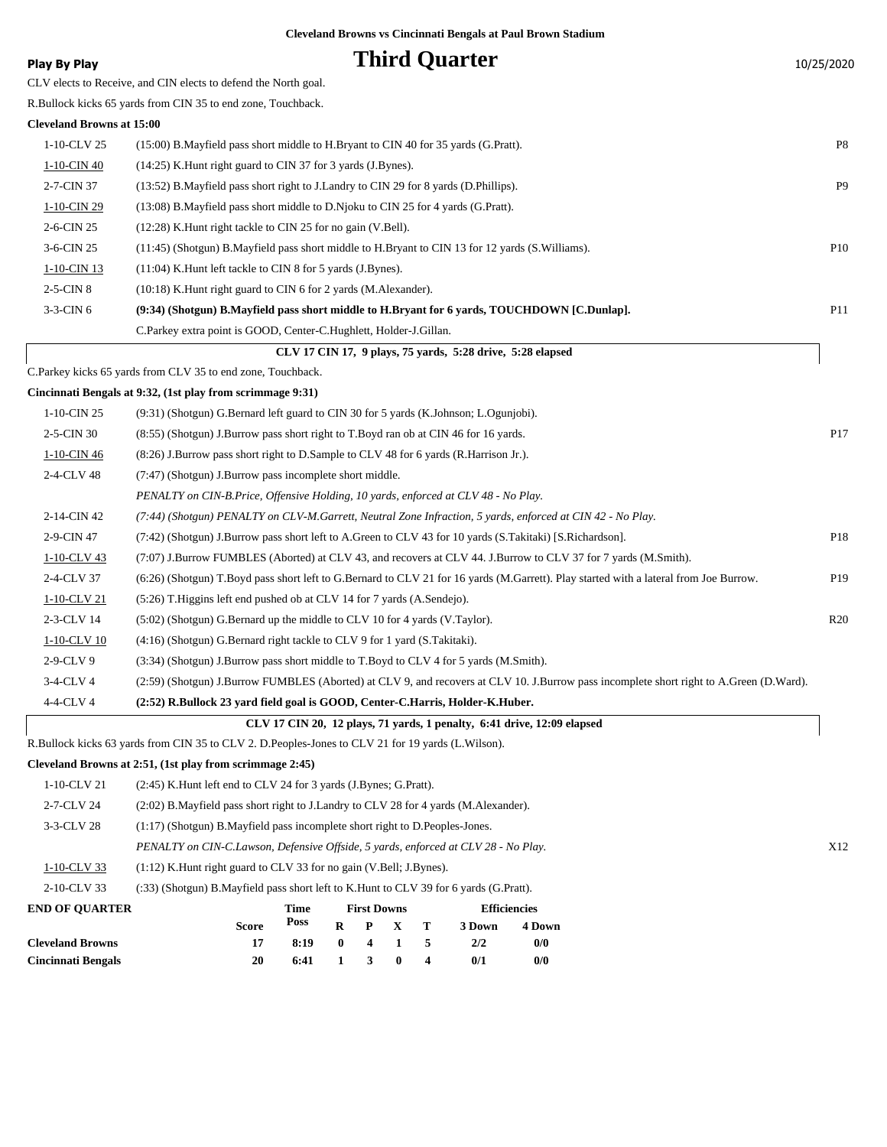**Play By Play Play Play Play By Play Third Quarter** 10/25/2020 CLV elects to Receive, and CIN elects to defend the North goal. R.Bullock kicks 65 yards from CIN 35 to end zone, Touchback. **Cleveland Browns at 15:00** 1-10-CLV 25 (15:00) B.Mayfield pass short middle to H.Bryant to CIN 40 for 35 yards (G.Pratt). P8 1-10-CIN 40 (14:25) K.Hunt right guard to CIN 37 for 3 yards (J.Bynes). 2-7-CIN 37 (13:52) B.Mayfield pass short right to J.Landry to CIN 29 for 8 yards (D.Phillips). P9 1-10-CIN 29 (13:08) B.Mayfield pass short middle to D.Njoku to CIN 25 for 4 yards (G.Pratt). 2-6-CIN 25 (12:28) K.Hunt right tackle to CIN 25 for no gain (V.Bell). 3-6-CIN 25 (11:45) (Shotgun) B.Mayfield pass short middle to H.Bryant to CIN 13 for 12 yards (S.Williams). P10 1-10-CIN 13 (11:04) K.Hunt left tackle to CIN 8 for 5 yards (J.Bynes). 2-5-CIN 8 (10:18) K.Hunt right guard to CIN 6 for 2 yards (M.Alexander). 3-3-CIN 6 **(9:34) (Shotgun) B.Mayfield pass short middle to H.Bryant for 6 yards, TOUCHDOWN [C.Dunlap].** P11 C.Parkey extra point is GOOD, Center-C.Hughlett, Holder-J.Gillan.  **CLV 17 CIN 17, 9 plays, 75 yards, 5:28 drive, 5:28 elapsed**

C.Parkey kicks 65 yards from CLV 35 to end zone, Touchback.

**Cincinnati Bengals at 9:32, (1st play from scrimmage 9:31)**

| $1-10$ -CIN 25 | (9:31) (Shotgun) G.Bernard left guard to CIN 30 for 5 yards (K.Johnson; L.Ogunjobi).                                                    |                 |
|----------------|-----------------------------------------------------------------------------------------------------------------------------------------|-----------------|
| 2-5-CIN 30     | (8.55) (Shotgun) J.Burrow pass short right to T.Boyd ran ob at CIN 46 for 16 yards.                                                     | P <sub>17</sub> |
| 1-10-CIN 46    | (8.26) J.Burrow pass short right to D.Sample to CLV 48 for 6 yards (R.Harrison Jr.).                                                    |                 |
| 2-4-CLV 48     | (7:47) (Shotgun) J.Burrow pass incomplete short middle.                                                                                 |                 |
|                | PENALTY on CIN-B.Price, Offensive Holding, 10 yards, enforced at CLV 48 - No Play.                                                      |                 |
| 2-14-CIN 42    | (7:44) (Shotgun) PENALTY on CLV-M.Garrett, Neutral Zone Infraction, 5 yards, enforced at CIN 42 - No Play.                              |                 |
| 2-9-CIN 47     | (7:42) (Shotgun) J.Burrow pass short left to A.Green to CLV 43 for 10 yards (S.Takitaki) [S.Richardson].                                | P <sub>18</sub> |
| 1-10-CLV 43    | (7:07) J.Burrow FUMBLES (Aborted) at CLV 43, and recovers at CLV 44. J.Burrow to CLV 37 for 7 yards (M.Smith).                          |                 |
| 2-4-CLV 37     | (6:26) (Shotgun) T.Boyd pass short left to G.Bernard to CLV 21 for 16 yards (M.Garrett). Play started with a lateral from Joe Burrow.   | P <sub>19</sub> |
| 1-10-CLV 21    | (5:26) T. Higgins left end pushed ob at CLV 14 for 7 yards (A. Sendejo).                                                                |                 |
| 2-3-CLV 14     | (5:02) (Shotgun) G.Bernard up the middle to CLV 10 for 4 yards (V.Taylor).                                                              | R20             |
| 1-10-CLV 10    | (4:16) (Shotgun) G.Bernard right tackle to CLV 9 for 1 yard (S.Takitaki).                                                               |                 |
| $2-9$ -CLV $9$ | (3:34) (Shotgun) J.Burrow pass short middle to T.Boyd to CLV 4 for 5 yards (M.Smith).                                                   |                 |
| $3-4$ -CLV 4   | (2:59) (Shotgun) J.Burrow FUMBLES (Aborted) at CLV 9, and recovers at CLV 10. J.Burrow pass incomplete short right to A.Green (D.Ward). |                 |
| 4-4-CLV 4      | (2:52) R.Bullock 23 yard field goal is GOOD, Center-C.Harris, Holder-K.Huber.                                                           |                 |
|                |                                                                                                                                         |                 |

 **CLV 17 CIN 20, 12 plays, 71 yards, 1 penalty, 6:41 drive, 12:09 elapsed**

R.Bullock kicks 63 yards from CIN 35 to CLV 2. D.Peoples-Jones to CLV 21 for 19 yards (L.Wilson).

**Cincinnati Bengals 20 6:41 1 3 0 4 0/1 0/0**

#### **Cleveland Browns at 2:51, (1st play from scrimmage 2:45)**

| <b>Cleveland Browns</b> |                                                                                        | 17                                                                      | 8:19 | $\mathbf{0}$ | -4 |                    |   | 2/2    | 0/0                 |
|-------------------------|----------------------------------------------------------------------------------------|-------------------------------------------------------------------------|------|--------------|----|--------------------|---|--------|---------------------|
|                         |                                                                                        | <b>Score</b>                                                            | Poss | R            | P  | X.                 | T | 3 Down | 4 Down              |
| <b>END OF OUARTER</b>   |                                                                                        |                                                                         | Time |              |    | <b>First Downs</b> |   |        | <b>Efficiencies</b> |
| 2-10-CLV 33             | (:33) (Shotgun) B.Mayfield pass short left to K.Hunt to CLV 39 for 6 yards (G.Pratt).  |                                                                         |      |              |    |                    |   |        |                     |
| 1-10-CLV 33             |                                                                                        | $(1:12)$ K. Hunt right guard to CLV 33 for no gain (V. Bell; J. Bynes). |      |              |    |                    |   |        |                     |
|                         | PENALTY on CIN-C.Lawson, Defensive Offside, 5 yards, enforced at CLV 28 - No Play.     |                                                                         |      |              |    |                    |   |        |                     |
| 3-3-CLV 28              | $(1:17)$ (Shotgun) B. Mayfield pass incomplete short right to D. Peoples-Jones.        |                                                                         |      |              |    |                    |   |        |                     |
| 2-7-CLV 24              | (2:02) B. Mayfield pass short right to J. Landry to CLV 28 for 4 yards (M. Alexander). |                                                                         |      |              |    |                    |   |        |                     |
| 1-10-CLV 21             | (2:45) K.Hunt left end to CLV 24 for 3 yards (J.Bynes; G.Pratt).                       |                                                                         |      |              |    |                    |   |        |                     |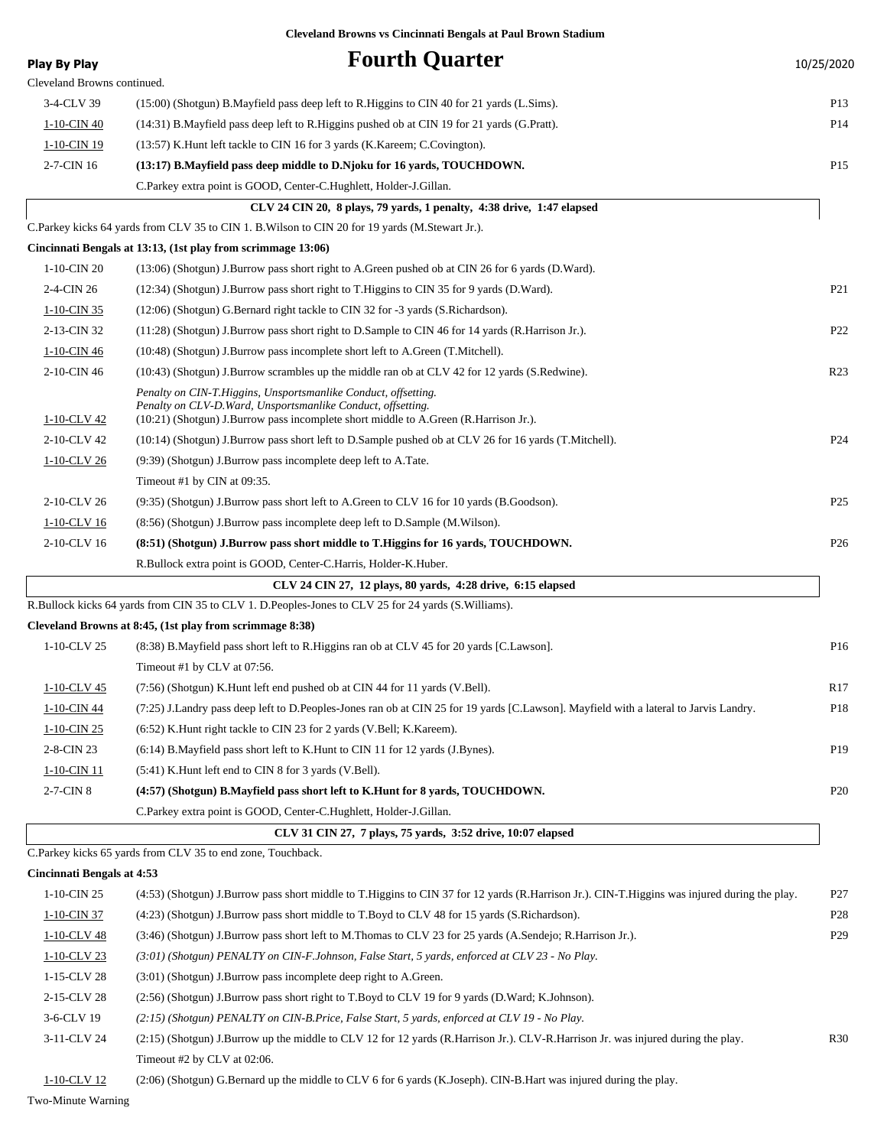| <b>Play By Play</b>               | <b>Fourth Quarter</b>                                                                                                                                                                                                  | 10/25/2020      |
|-----------------------------------|------------------------------------------------------------------------------------------------------------------------------------------------------------------------------------------------------------------------|-----------------|
| Cleveland Browns continued.       |                                                                                                                                                                                                                        |                 |
| 3-4-CLV 39                        | (15:00) (Shotgun) B. Mayfield pass deep left to R. Higgins to CIN 40 for 21 yards (L. Sims).                                                                                                                           | P <sub>13</sub> |
| 1-10-CIN 40                       | (14:31) B.Mayfield pass deep left to R.Higgins pushed ob at CIN 19 for 21 yards (G.Pratt).                                                                                                                             | P <sub>14</sub> |
| 1-10-CIN 19                       | (13:57) K. Hunt left tackle to CIN 16 for 3 yards (K. Kareem; C. Covington).                                                                                                                                           |                 |
| 2-7-CIN 16                        | (13:17) B. Mayfield pass deep middle to D. Njoku for 16 yards, TOUCHDOWN.                                                                                                                                              | P <sub>15</sub> |
|                                   | C. Parkey extra point is GOOD, Center-C. Hughlett, Holder-J. Gillan.                                                                                                                                                   |                 |
|                                   | CLV 24 CIN 20, 8 plays, 79 yards, 1 penalty, 4:38 drive, 1:47 elapsed                                                                                                                                                  |                 |
|                                   | C.Parkey kicks 64 yards from CLV 35 to CIN 1. B. Wilson to CIN 20 for 19 yards (M.Stewart Jr.).                                                                                                                        |                 |
|                                   | Cincinnati Bengals at 13:13, (1st play from scrimmage 13:06)                                                                                                                                                           |                 |
| 1-10-CIN 20                       | (13:06) (Shotgun) J.Burrow pass short right to A.Green pushed ob at CIN 26 for 6 yards (D.Ward).                                                                                                                       |                 |
| 2-4-CIN 26                        | (12:34) (Shotgun) J.Burrow pass short right to T.Higgins to CIN 35 for 9 yards (D.Ward).                                                                                                                               | P <sub>21</sub> |
| 1-10-CIN 35                       | (12:06) (Shotgun) G.Bernard right tackle to CIN 32 for -3 yards (S.Richardson).                                                                                                                                        |                 |
| 2-13-CIN 32                       | (11:28) (Shotgun) J.Burrow pass short right to D.Sample to CIN 46 for 14 yards (R.Harrison Jr.).                                                                                                                       | P <sub>22</sub> |
| 1-10-CIN 46                       | (10:48) (Shotgun) J.Burrow pass incomplete short left to A.Green (T.Mitchell).                                                                                                                                         |                 |
| 2-10-CIN 46                       | (10:43) (Shotgun) J.Burrow scrambles up the middle ran ob at CLV 42 for 12 yards (S.Redwine).                                                                                                                          | R <sub>23</sub> |
| 1-10-CLV 42                       | Penalty on CIN-T.Higgins, Unsportsmanlike Conduct, offsetting.<br>Penalty on CLV-D. Ward, Unsportsmanlike Conduct, offsetting.<br>(10:21) (Shotgun) J.Burrow pass incomplete short middle to A.Green (R.Harrison Jr.). |                 |
| 2-10-CLV 42                       | (10:14) (Shotgun) J.Burrow pass short left to D.Sample pushed ob at CLV 26 for 16 yards (T.Mitchell).                                                                                                                  | P <sub>24</sub> |
| 1-10-CLV 26                       | (9:39) (Shotgun) J.Burrow pass incomplete deep left to A.Tate.                                                                                                                                                         |                 |
|                                   | Timeout #1 by CIN at 09:35.                                                                                                                                                                                            |                 |
| 2-10-CLV 26                       | (9:35) (Shotgun) J.Burrow pass short left to A.Green to CLV 16 for 10 yards (B.Goodson).                                                                                                                               | P <sub>25</sub> |
| 1-10-CLV 16                       | (8.56) (Shotgun) J.Burrow pass incomplete deep left to D.Sample (M.Wilson).                                                                                                                                            |                 |
| 2-10-CLV 16                       | (8:51) (Shotgun) J.Burrow pass short middle to T.Higgins for 16 yards, TOUCHDOWN.                                                                                                                                      | P <sub>26</sub> |
|                                   | R.Bullock extra point is GOOD, Center-C.Harris, Holder-K.Huber.                                                                                                                                                        |                 |
|                                   | CLV 24 CIN 27, 12 plays, 80 yards, 4:28 drive, 6:15 elapsed                                                                                                                                                            |                 |
|                                   | R.Bullock kicks 64 yards from CIN 35 to CLV 1. D.Peoples-Jones to CLV 25 for 24 yards (S.Williams).                                                                                                                    |                 |
|                                   | Cleveland Browns at 8:45, (1st play from scrimmage 8:38)                                                                                                                                                               |                 |
| 1-10-CLV 25                       | (8.38) B. Mayfield pass short left to R. Higgins ran ob at CLV 45 for 20 yards [C. Lawson].                                                                                                                            | P <sub>16</sub> |
|                                   | Timeout #1 by CLV at 07:56.                                                                                                                                                                                            |                 |
| 1-10-CLV 45                       |                                                                                                                                                                                                                        | R <sub>17</sub> |
|                                   | $(7:56)$ (Shotgun) K.Hunt left end pushed ob at CIN 44 for 11 yards (V.Bell).<br>(7:25) J.Landry pass deep left to D.Peoples-Jones ran ob at CIN 25 for 19 yards [C.Lawson]. Mayfield with a lateral to Jarvis Landry. |                 |
| 1-10-CIN 44                       |                                                                                                                                                                                                                        | P <sub>18</sub> |
| 1-10-CIN 25                       | (6:52) K. Hunt right tackle to CIN 23 for 2 yards (V. Bell; K. Kareem).                                                                                                                                                |                 |
| 2-8-CIN 23                        | (6:14) B. Mayfield pass short left to K. Hunt to CIN 11 for 12 yards (J. Bynes).                                                                                                                                       | P <sub>19</sub> |
| 1-10-CIN 11                       | (5:41) K.Hunt left end to CIN 8 for 3 yards (V.Bell).                                                                                                                                                                  |                 |
| 2-7-CIN 8                         | (4:57) (Shotgun) B.Mayfield pass short left to K.Hunt for 8 yards, TOUCHDOWN.                                                                                                                                          | P <sub>20</sub> |
|                                   | C.Parkey extra point is GOOD, Center-C.Hughlett, Holder-J.Gillan.                                                                                                                                                      |                 |
|                                   | CLV 31 CIN 27, 7 plays, 75 yards, 3:52 drive, 10:07 elapsed                                                                                                                                                            |                 |
|                                   | C. Parkey kicks 65 yards from CLV 35 to end zone, Touchback.                                                                                                                                                           |                 |
| <b>Cincinnati Bengals at 4:53</b> |                                                                                                                                                                                                                        |                 |
| 1-10-CIN 25                       | (4:53) (Shotgun) J.Burrow pass short middle to T.Higgins to CIN 37 for 12 yards (R.Harrison Jr.). CIN-T.Higgins was injured during the play.                                                                           | P27             |
| $1-10$ -CIN 37                    | (4:23) (Shotgun) J.Burrow pass short middle to T.Boyd to CLV 48 for 15 yards (S.Richardson).                                                                                                                           | P <sub>28</sub> |
| $1-10$ -CLV 48                    | (3:46) (Shotgun) J.Burrow pass short left to M.Thomas to CLV 23 for 25 yards (A.Sendejo; R.Harrison Jr.).                                                                                                              | P <sub>29</sub> |
| 1-10-CLV 23                       | (3:01) (Shotgun) PENALTY on CIN-F.Johnson, False Start, 5 yards, enforced at CLV 23 - No Play.                                                                                                                         |                 |
| 1-15-CLV 28                       | (3:01) (Shotgun) J.Burrow pass incomplete deep right to A.Green.                                                                                                                                                       |                 |
| 2-15-CLV 28                       | (2:56) (Shotgun) J.Burrow pass short right to T.Boyd to CLV 19 for 9 yards (D.Ward; K.Johnson).                                                                                                                        |                 |
| 3-6-CLV 19                        | (2:15) (Shotgun) PENALTY on CIN-B.Price, False Start, 5 yards, enforced at CLV 19 - No Play.                                                                                                                           |                 |
| 3-11-CLV 24                       | (2:15) (Shotgun) J.Burrow up the middle to CLV 12 for 12 yards (R.Harrison Jr.). CLV-R.Harrison Jr. was injured during the play.<br>Timeout #2 by CLV at 02:06.                                                        | R <sub>30</sub> |

1-10-CLV 12 (2:06) (Shotgun) G.Bernard up the middle to CLV 6 for 6 yards (K.Joseph). CIN-B.Hart was injured during the play.

Two-Minute Warning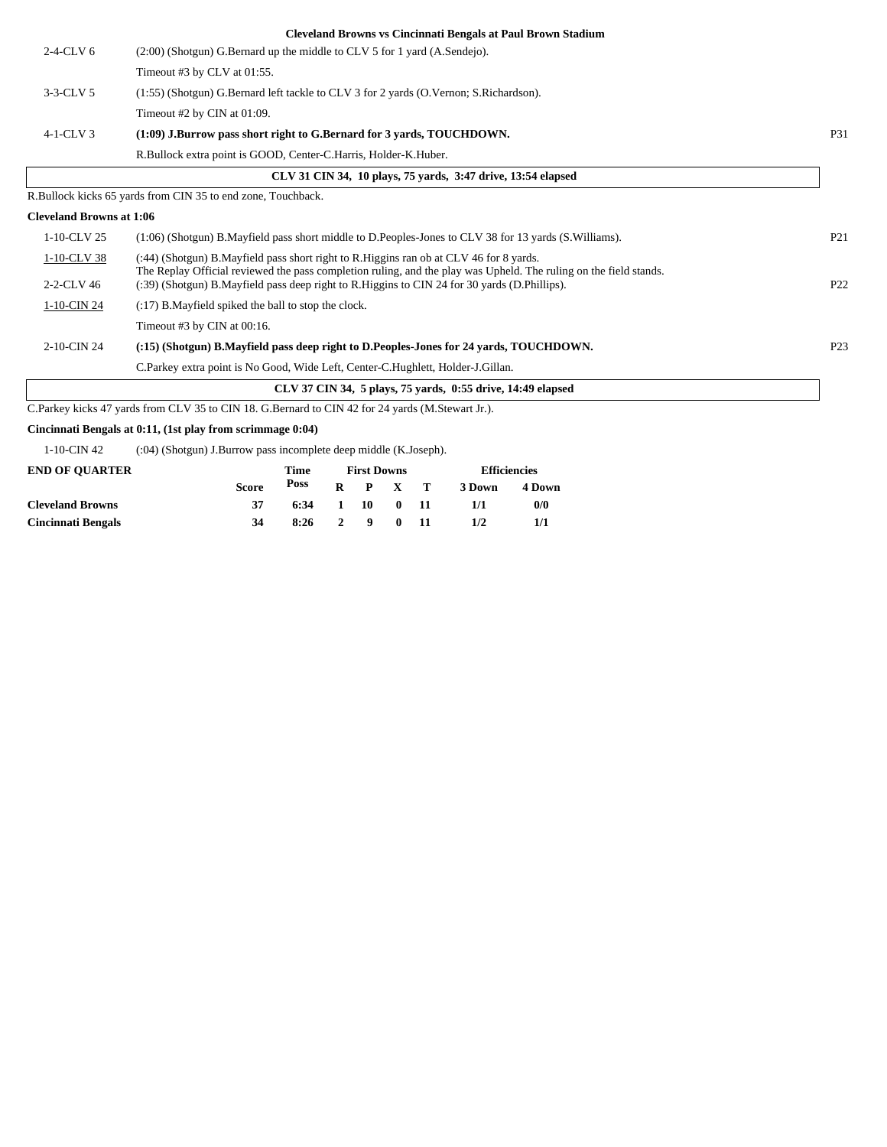|                                 | <b>Cleveland Browns vs Cincinnati Bengals at Paul Brown Stadium</b>                                                                                                                                               |                 |
|---------------------------------|-------------------------------------------------------------------------------------------------------------------------------------------------------------------------------------------------------------------|-----------------|
| $2-4-CLV$ 6                     | (2:00) (Shotgun) G.Bernard up the middle to CLV 5 for 1 yard (A.Sendejo).                                                                                                                                         |                 |
|                                 | Timeout #3 by CLV at $01:55$ .                                                                                                                                                                                    |                 |
| $3-3-CLV5$                      | (1:55) (Shotgun) G.Bernard left tackle to CLV 3 for 2 yards (O.Vernon; S.Richardson).                                                                                                                             |                 |
|                                 | Timeout #2 by CIN at 01:09.                                                                                                                                                                                       |                 |
| $4-1-CLV$ 3                     | $(1:09)$ J.Burrow pass short right to G.Bernard for 3 yards, TOUCHDOWN.                                                                                                                                           | <b>P31</b>      |
|                                 | R.Bullock extra point is GOOD, Center-C.Harris, Holder-K.Huber.                                                                                                                                                   |                 |
|                                 | CLV 31 CIN 34, 10 plays, 75 yards, 3:47 drive, 13:54 elapsed                                                                                                                                                      |                 |
|                                 | R.Bullock kicks 65 yards from CIN 35 to end zone, Touchback.                                                                                                                                                      |                 |
| <b>Cleveland Browns at 1:06</b> |                                                                                                                                                                                                                   |                 |
| 1-10-CLV 25                     | (1:06) (Shotgun) B. Mayfield pass short middle to D. Peoples-Jones to CLV 38 for 13 yards (S. Williams).                                                                                                          | P <sub>21</sub> |
| 1-10-CLV 38                     | (:44) (Shotgun) B. Mayfield pass short right to R. Higgins ran ob at CLV 46 for 8 yards.                                                                                                                          |                 |
| 2-2-CLV 46                      | The Replay Official reviewed the pass completion ruling, and the play was Upheld. The ruling on the field stands.<br>(:39) (Shotgun) B.Mayfield pass deep right to R.Higgins to CIN 24 for 30 yards (D.Phillips). | P <sub>22</sub> |
| 1-10-CIN 24                     | (:17) B. Mayfield spiked the ball to stop the clock.                                                                                                                                                              |                 |
|                                 | Timeout #3 by CIN at $00:16$ .                                                                                                                                                                                    |                 |
| 2-10-CIN 24                     | (:15) (Shotgun) B.Mayfield pass deep right to D.Peoples-Jones for 24 yards, TOUCHDOWN.                                                                                                                            | P <sub>23</sub> |
|                                 | C. Parkey extra point is No Good, Wide Left, Center-C. Hughlett, Holder-J. Gillan.                                                                                                                                |                 |
|                                 | CLV 37 CIN 34, 5 plays, 75 yards, 0:55 drive, 14:49 elapsed                                                                                                                                                       |                 |
|                                 | C.Parkey kicks 47 yards from CLV 35 to CIN 18. G.Bernard to CIN 42 for 24 yards (M.Stewart Jr.).                                                                                                                  |                 |

**Cincinnati Bengals at 0:11, (1st play from scrimmage 0:04)**

 $\overline{\phantom{a}}$ 

1-10-CIN 42 (:04) (Shotgun) J.Burrow pass incomplete deep middle (K.Joseph).

| <b>END OF OUARTER</b>     |       | <b>First Downs</b> |                 | <b>Efficiencies</b> |        |        |
|---------------------------|-------|--------------------|-----------------|---------------------|--------|--------|
|                           | Score | Poss               | $R$ $P$ $X$ $T$ |                     | 3 Down | 4 Down |
| <b>Cleveland Browns</b>   |       | 6:34               | 1 10 0 11       |                     | 1/1    | 0/0    |
| <b>Cincinnati Bengals</b> | 34    | 8:26               | 2 9 0 11        |                     | 1/2    |        |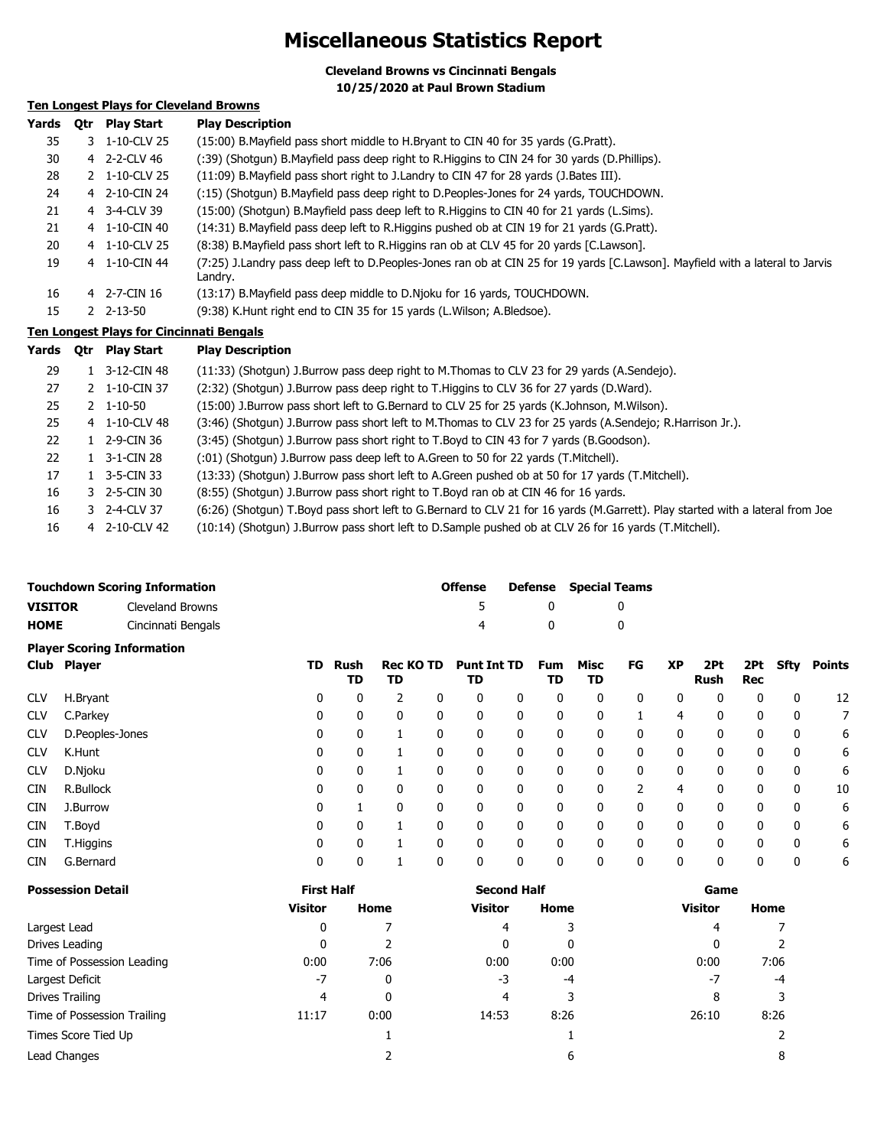## **Miscellaneous Statistics Report**

**Cleveland Browns vs Cincinnati Bengals 10/25/2020 at Paul Brown Stadium**

## **Ten Longest Plays for Cleveland Browns**

| Yards | 0tr | <b>Play Start</b>     | <b>Play Description</b>                                                                                                                  |
|-------|-----|-----------------------|------------------------------------------------------------------------------------------------------------------------------------------|
| 35    |     | 3 1-10-CLV 25         | (15:00) B. Mayfield pass short middle to H. Bryant to CIN 40 for 35 yards (G. Pratt).                                                    |
| 30    |     | 4 2-2-CLV 46          | (:39) (Shotgun) B.Mayfield pass deep right to R.Higgins to CIN 24 for 30 yards (D.Phillips).                                             |
| 28    |     | 2 1-10-CLV 25         | (11:09) B. Mayfield pass short right to J. Landry to CIN 47 for 28 yards (J. Bates III).                                                 |
| 24    |     | 4 2-10-CIN 24         | (:15) (Shotgun) B.Mayfield pass deep right to D.Peoples-Jones for 24 yards, TOUCHDOWN.                                                   |
| 21    |     | 4 3-4-CLV 39          | (15:00) (Shotqun) B. Mayfield pass deep left to R. Higgins to CIN 40 for 21 yards (L. Sims).                                             |
| 21    |     | 4 1-10-CIN 40         | (14:31) B. Mayfield pass deep left to R. Higgins pushed ob at CIN 19 for 21 yards (G. Pratt).                                            |
| 20    |     | 4 1-10-CLV 25         | (8:38) B. Mayfield pass short left to R. Higgins ran ob at CLV 45 for 20 yards [C. Lawson].                                              |
| 19    |     | 4 1-10-CIN 44         | (7:25) J.Landry pass deep left to D.Peoples-Jones ran ob at CIN 25 for 19 yards [C.Lawson]. Mayfield with a lateral to Jarvis<br>Landry. |
| 16    |     | 4 2-7-CIN 16          | (13:17) B. Mayfield pass deep middle to D. Njoku for 16 yards, TOUCHDOWN.                                                                |
| 15    |     | $2 \quad 2 - 13 - 50$ | (9:38) K.Hunt right end to CIN 35 for 15 yards (L.Wilson; A.Bledsoe).                                                                    |
|       |     |                       | Ton Longest Plays for Cincinnati Rengals                                                                                                 |

#### **Ten Longest Plays for Cincinnati Bengals**

| Yards | 0tr | <b>Play Start</b>     | <b>Play Description</b>                                                                                                       |
|-------|-----|-----------------------|-------------------------------------------------------------------------------------------------------------------------------|
| 29    |     | 1 3-12-CIN 48         | (11:33) (Shotgun) J.Burrow pass deep right to M.Thomas to CLV 23 for 29 yards (A.Sendejo).                                    |
| 27    |     | 2 1-10-CIN 37         | (2:32) (Shotgun) J.Burrow pass deep right to T.Higgins to CLV 36 for 27 yards (D.Ward).                                       |
| 25    |     | $2 \quad 1 - 10 - 50$ | (15:00) J.Burrow pass short left to G.Bernard to CLV 25 for 25 yards (K.Johnson, M.Wilson).                                   |
| 25    |     | 4 1-10-CLV 48         | (3:46) (Shotgun) J.Burrow pass short left to M.Thomas to CLV 23 for 25 yards (A.Sendejo; R.Harrison Jr.).                     |
| 22    |     | 1 2-9-CIN 36          | (3:45) (Shotgun) J.Burrow pass short right to T.Boyd to CIN 43 for 7 yards (B.Goodson).                                       |
| 22    |     | $1 \quad 3-1$ -CIN 28 | (:01) (Shotgun) J.Burrow pass deep left to A.Green to 50 for 22 yards (T.Mitchell).                                           |
| 17    |     | 1 $3-5$ -CIN 33       | (13:33) (Shotgun) J.Burrow pass short left to A.Green pushed ob at 50 for 17 yards (T.Mitchell).                              |
| 16    |     | 3 2-5-CIN 30          | (8:55) (Shotgun) J.Burrow pass short right to T.Boyd ran ob at CIN 46 for 16 yards.                                           |
| 16    |     | 3 2-4-CLV 37          | (6:26) (Shotgun) T.Boyd pass short left to G.Bernard to CLV 21 for 16 yards (M.Garrett). Play started with a lateral from Joe |
| 16    |     | 4 2-10-CLV 42         | (10:14) (Shotgun) J.Burrow pass short left to D.Sample pushed ob at CLV 26 for 16 yards (T.Mitchell).                         |

|                | <b>Touchdown Scoring Information</b> | <b>Offense</b> |   | <b>Defense</b> Special Teams |
|----------------|--------------------------------------|----------------|---|------------------------------|
| <b>VISITOR</b> | Cleveland Browns                     | -5.            |   |                              |
| <b>HOME</b>    | Cincinnati Bengals                   |                | n |                              |
|                | <b>Player Scoring Information</b>    |                |   |                              |

|            | Club Player     | TD. | Rush<br>TD | <b>Rec KO TD</b><br>TD |          | <b>Punt Int TD</b><br>TD |   | Fum<br>TD | Misc<br>TD   | FG | <b>XP</b>    | 2Pt<br>Rush | 2Pt<br><b>Rec</b> | Sfty         | Points |
|------------|-----------------|-----|------------|------------------------|----------|--------------------------|---|-----------|--------------|----|--------------|-------------|-------------------|--------------|--------|
| <b>CLV</b> | H.Bryant        | 0   | 0          | 2                      | 0        | 0                        | 0 | 0         | 0            | 0  | 0            | 0           | 0                 | 0            | 12     |
| <b>CLV</b> | C.Parkey        | 0   | 0          | 0                      | 0        | 0                        | 0 | 0         | $\mathbf{0}$ |    | 4            | 0           | 0                 | 0            |        |
| <b>CLV</b> | D.Peoples-Jones | 0   | 0          |                        |          | 0                        | 0 | 0         | 0            | 0  | 0            | 0           | 0                 | 0            | 6      |
| <b>CLV</b> | K.Hunt          | 0   | 0          |                        |          | 0                        | 0 | 0         | 0            | 0  | 0            | 0           | 0                 | 0            | 6      |
| <b>CLV</b> | D.Njoku         | 0   | 0          |                        |          | 0                        | 0 | 0         | $\mathbf{0}$ | 0  | 0            | 0           | 0                 | 0            | 6      |
| <b>CIN</b> | R.Bullock       | 0   | 0          | 0                      | 0        | 0                        | 0 | 0         | $\Omega$     |    | 4            | 0           | 0                 | 0            | 10     |
| <b>CIN</b> | J.Burrow        | 0   |            | $\mathbf{0}$           | 0        | 0                        | 0 | 0         | $\mathbf{0}$ | 0  | $\mathbf{0}$ | 0           | 0                 | 0            | 6      |
| <b>CIN</b> | T.Boyd          | 0   | 0          |                        | $\Omega$ | $\mathbf{0}$             | 0 | 0         | $\mathbf{0}$ | 0  | $\Omega$     | 0           | $\mathbf{0}$      | $\mathbf{0}$ | 6      |
| <b>CIN</b> | T.Higgins       | 0   | 0          |                        | $\Omega$ | 0                        | 0 | 0         | $\mathbf{0}$ | 0  | $\mathbf{0}$ | 0           | 0                 | 0            | 6      |
| <b>CIN</b> | G.Bernard       | 0   | 0          |                        |          | 0                        | 0 | 0         | 0            | 0  | 0            | 0           | 0                 | 0            | 6      |

| <b>Possession Detail</b>    | <b>First Half</b> |      | <b>Second Half</b> |      | Game           |      |  |
|-----------------------------|-------------------|------|--------------------|------|----------------|------|--|
|                             | <b>Visitor</b>    | Home | <b>Visitor</b>     | Home | <b>Visitor</b> | Home |  |
| Largest Lead                | 0                 |      | 4                  | 3    | 4              |      |  |
| Drives Leading              | 0                 |      | 0                  | 0    | 0              |      |  |
| Time of Possession Leading  | 0:00              | 7:06 | 0:00               | 0:00 | 0:00           | 7:06 |  |
| Largest Deficit             | $-7$              | 0    | -3                 | $-4$ | $-7$           | $-4$ |  |
| Drives Trailing             | 4                 | 0    | 4                  | 3    | 8              |      |  |
| Time of Possession Trailing | 11:17             | 0:00 | 14:53              | 8:26 | 26:10          | 8:26 |  |
| Times Score Tied Up         |                   |      |                    |      |                |      |  |
| Lead Changes                |                   |      |                    | 6    |                | 8    |  |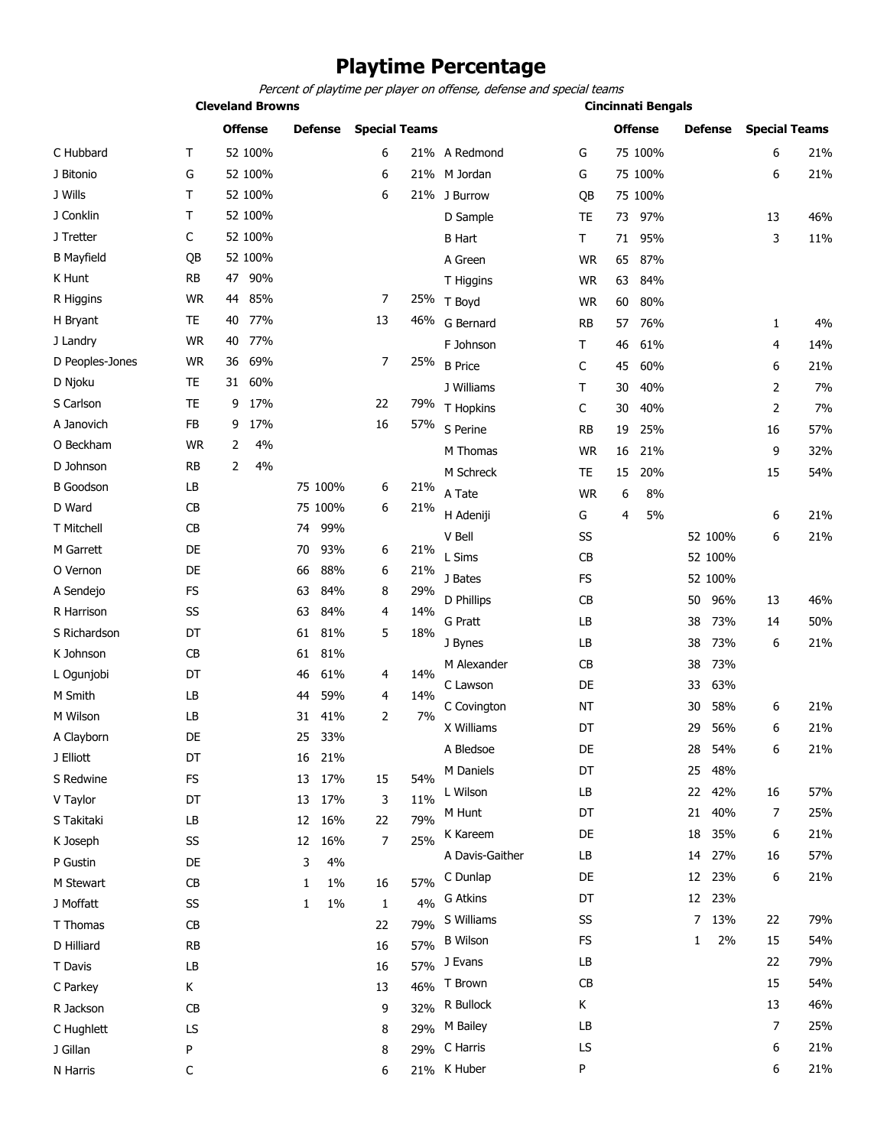## **Playtime Percentage**

Percent of playtime per player on offense, defense and special teams

**Cleveland Browns Cincinnati Bengals**

|                   |           | <b>Offense</b> |         |    | <b>Defense</b> | <b>Special Teams</b> |     |                 |           |    | <b>Offense</b> |    | <b>Defense</b> | <b>Special Teams</b> |     |
|-------------------|-----------|----------------|---------|----|----------------|----------------------|-----|-----------------|-----------|----|----------------|----|----------------|----------------------|-----|
| C Hubbard         | Τ         |                | 52 100% |    |                | 6                    |     | 21% A Redmond   | G         |    | 75 100%        |    |                | 6                    | 21% |
| J Bitonio         | G         |                | 52 100% |    |                | 6                    |     | 21% M Jordan    | G         |    | 75 100%        |    |                | 6                    | 21% |
| J Wills           | Τ         |                | 52 100% |    |                | 6                    |     | 21% J Burrow    | QB        |    | 75 100%        |    |                |                      |     |
| J Conklin         | Τ         |                | 52 100% |    |                |                      |     | D Sample        | TE        | 73 | 97%            |    |                | 13                   | 46% |
| J Tretter         | C         |                | 52 100% |    |                |                      |     | <b>B</b> Hart   | Τ         | 71 | 95%            |    |                | 3                    | 11% |
| <b>B</b> Mayfield | QB        |                | 52 100% |    |                |                      |     | A Green         | <b>WR</b> | 65 | 87%            |    |                |                      |     |
| K Hunt            | <b>RB</b> | 47             | 90%     |    |                |                      |     | T Higgins       | <b>WR</b> | 63 | 84%            |    |                |                      |     |
| R Higgins         | <b>WR</b> | 44             | 85%     |    |                | 7                    |     | 25% T Boyd      | <b>WR</b> | 60 | 80%            |    |                |                      |     |
| H Bryant          | <b>TE</b> | 40             | 77%     |    |                | 13                   | 46% | G Bernard       | <b>RB</b> | 57 | 76%            |    |                | 1                    | 4%  |
| J Landry          | <b>WR</b> | 40             | 77%     |    |                |                      |     | F Johnson       | Т         | 46 | 61%            |    |                | 4                    | 14% |
| D Peoples-Jones   | <b>WR</b> | 36             | 69%     |    |                | 7                    | 25% | <b>B</b> Price  | C         | 45 | 60%            |    |                | 6                    | 21% |
| D Njoku           | TE        | 31             | 60%     |    |                |                      |     | J Williams      | т         | 30 | 40%            |    |                | 2                    | 7%  |
| S Carlson         | <b>TE</b> | 9              | 17%     |    |                | 22                   | 79% | T Hopkins       | C         | 30 | 40%            |    |                | 2                    | 7%  |
| A Janovich        | FB        | 9              | 17%     |    |                | 16                   | 57% | S Perine        | <b>RB</b> | 19 | 25%            |    |                | 16                   | 57% |
| O Beckham         | <b>WR</b> | 2              | 4%      |    |                |                      |     | M Thomas        | <b>WR</b> | 16 | 21%            |    |                | 9                    | 32% |
| D Johnson         | <b>RB</b> | 2              | 4%      |    |                |                      |     | M Schreck       | TE        | 15 | 20%            |    |                | 15                   | 54% |
| <b>B</b> Goodson  | LB        |                |         |    | 75 100%        | 6                    | 21% | A Tate          | <b>WR</b> | 6  | 8%             |    |                |                      |     |
| D Ward            | CB        |                |         |    | 75 100%        | 6                    | 21% | H Adeniji       | G         | 4  | 5%             |    |                | 6                    | 21% |
| T Mitchell        | CB        |                |         | 74 | 99%            |                      |     | V Bell          | SS        |    |                |    | 52 100%        | 6                    | 21% |
| M Garrett         | DE        |                |         | 70 | 93%            | 6                    | 21% | L Sims          | CB        |    |                |    | 52 100%        |                      |     |
| O Vernon          | DE        |                |         | 66 | 88%            | 6                    | 21% | J Bates         | <b>FS</b> |    |                |    | 52 100%        |                      |     |
| A Sendejo         | FS        |                |         | 63 | 84%            | 8                    | 29% |                 |           |    |                |    |                |                      | 46% |
| R Harrison        | SS        |                |         | 63 | 84%            | 4                    | 14% | D Phillips      | CB<br>LB  |    |                | 50 | 96%<br>73%     | 13                   | 50% |
| S Richardson      | DT        |                |         | 61 | 81%            | 5                    | 18% | G Pratt         |           |    |                | 38 |                | 14                   |     |
| K Johnson         | CB        |                |         | 61 | 81%            |                      |     | J Bynes         | LB        |    |                | 38 | 73%            | 6                    | 21% |
| L Ogunjobi        | DT        |                |         | 46 | 61%            | 4                    | 14% | M Alexander     | CB        |    |                | 38 | 73%            |                      |     |
| M Smith           | LB        |                |         | 44 | 59%            | 4                    | 14% | C Lawson        | DE        |    |                | 33 | 63%            |                      |     |
| M Wilson          | LB        |                |         | 31 | 41%            | 2                    | 7%  | C Covington     | <b>NT</b> |    |                | 30 | 58%            | 6                    | 21% |
| A Clayborn        | DE        |                |         | 25 | 33%            |                      |     | X Williams      | DT        |    |                | 29 | 56%            | 6                    | 21% |
| J Elliott         | DT        |                |         |    | 16 21%         |                      |     | A Bledsoe       | DE        |    |                | 28 | 54%            | 6                    | 21% |
| S Redwine         | FS        |                |         |    | 13 17%         | 15                   | 54% | M Daniels       | DT        |    |                | 25 | 48%            |                      |     |
| V Taylor          | DT        |                |         | 13 | 17%            | 3                    | 11% | L Wilson        | LB        |    |                | 22 | 42%            | 16                   | 57% |
| S Takitaki        | LB        |                |         | 12 | 16%            | 22                   | 79% | M Hunt          | DT        |    |                | 21 | 40%            | 7                    | 25% |
| K Joseph          | SS        |                |         | 12 | 16%            | 7                    | 25% | K Kareem        | DE        |    |                | 18 | 35%            | 6                    | 21% |
| P Gustin          | DE        |                |         | 3  | 4%             |                      |     | A Davis-Gaither | LB        |    |                |    | 14 27%         | 16                   | 57% |
| M Stewart         | CB        |                |         | 1  | $1\%$          | 16                   | 57% | C Dunlap        | DE        |    |                |    | 12 23%         | 6                    | 21% |
| J Moffatt         | SS        |                |         | 1  | 1%             | 1                    | 4%  | G Atkins        | DT        |    |                |    | 12 23%         |                      |     |
| T Thomas          | CB        |                |         |    |                | 22                   | 79% | S Williams      | SS        |    |                | 7  | 13%            | 22                   | 79% |
| D Hilliard        | <b>RB</b> |                |         |    |                | 16                   | 57% | <b>B</b> Wilson | FS        |    |                | 1  | 2%             | 15                   | 54% |
| T Davis           | LB        |                |         |    |                | 16                   | 57% | J Evans         | LB        |    |                |    |                | 22                   | 79% |
| C Parkey          | Κ         |                |         |    |                | 13                   | 46% | T Brown         | <b>CB</b> |    |                |    |                | 15                   | 54% |
| R Jackson         | CB        |                |         |    |                | 9                    | 32% | R Bullock       | Κ         |    |                |    |                | 13                   | 46% |
| C Hughlett        | LS        |                |         |    |                | 8                    | 29% | M Bailey        | LB        |    |                |    |                | 7                    | 25% |
| J Gillan          | P         |                |         |    |                | 8                    |     | 29% C Harris    | LS        |    |                |    |                | 6                    | 21% |
| N Harris          | С         |                |         |    |                | 6                    |     | 21% K Huber     | P         |    |                |    |                | 6                    | 21% |